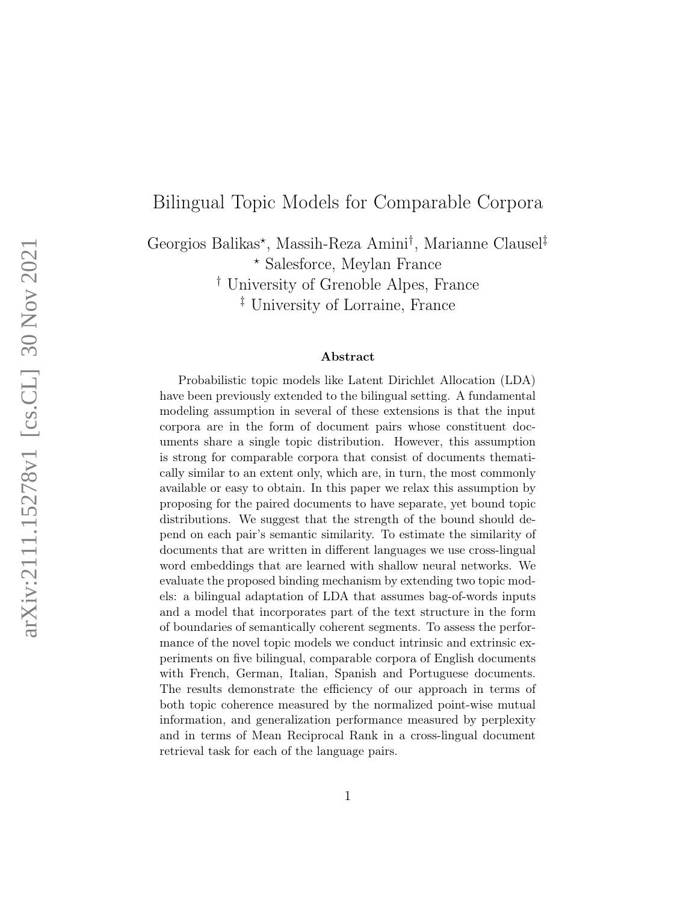## Bilingual Topic Models for Comparable Corpora

Georgios Balikas<sup>\*</sup>, Massih-Reza Amini<sup>†</sup>, Marianne Clausel<sup>‡</sup> ? Salesforce, Meylan France † University of Grenoble Alpes, France

‡ University of Lorraine, France

#### Abstract

Probabilistic topic models like Latent Dirichlet Allocation (LDA) have been previously extended to the bilingual setting. A fundamental modeling assumption in several of these extensions is that the input corpora are in the form of document pairs whose constituent documents share a single topic distribution. However, this assumption is strong for comparable corpora that consist of documents thematically similar to an extent only, which are, in turn, the most commonly available or easy to obtain. In this paper we relax this assumption by proposing for the paired documents to have separate, yet bound topic distributions. We suggest that the strength of the bound should depend on each pair's semantic similarity. To estimate the similarity of documents that are written in different languages we use cross-lingual word embeddings that are learned with shallow neural networks. We evaluate the proposed binding mechanism by extending two topic models: a bilingual adaptation of LDA that assumes bag-of-words inputs and a model that incorporates part of the text structure in the form of boundaries of semantically coherent segments. To assess the performance of the novel topic models we conduct intrinsic and extrinsic experiments on five bilingual, comparable corpora of English documents with French, German, Italian, Spanish and Portuguese documents. The results demonstrate the efficiency of our approach in terms of both topic coherence measured by the normalized point-wise mutual information, and generalization performance measured by perplexity and in terms of Mean Reciprocal Rank in a cross-lingual document retrieval task for each of the language pairs.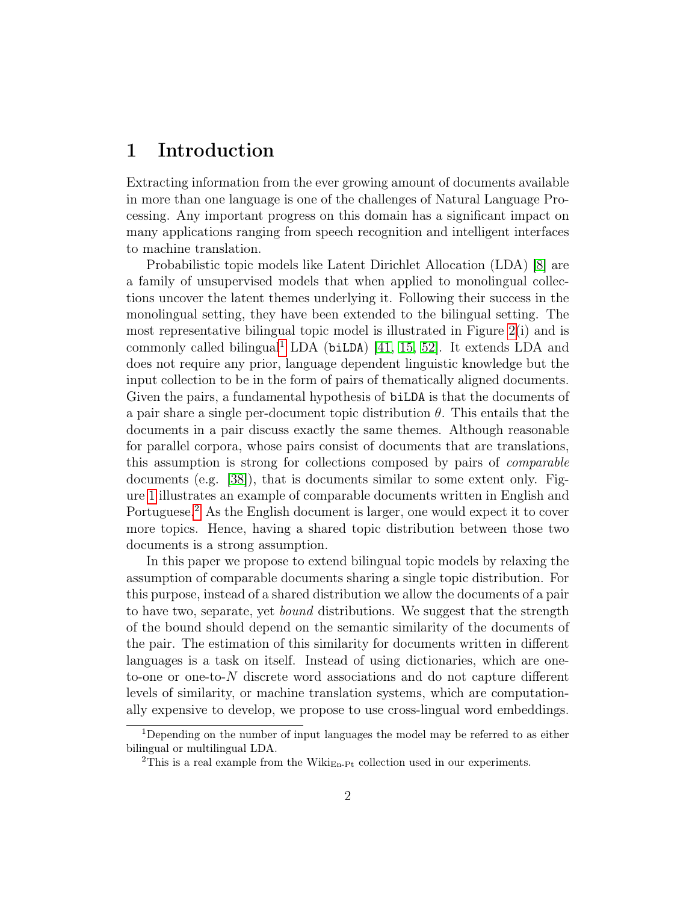## 1 Introduction

Extracting information from the ever growing amount of documents available in more than one language is one of the challenges of Natural Language Processing. Any important progress on this domain has a significant impact on many applications ranging from speech recognition and intelligent interfaces to machine translation.

Probabilistic topic models like Latent Dirichlet Allocation (LDA) [\[8\]](#page-27-0) are a family of unsupervised models that when applied to monolingual collections uncover the latent themes underlying it. Following their success in the monolingual setting, they have been extended to the bilingual setting. The most representative bilingual topic model is illustrated in Figure [2\(](#page-3-0)i) and is commonly called bilingual<sup>[1](#page-1-0)</sup> LDA (biLDA) [\[41,](#page-30-0) [15,](#page-27-1) [52\]](#page-31-0). It extends LDA and does not require any prior, language dependent linguistic knowledge but the input collection to be in the form of pairs of thematically aligned documents. Given the pairs, a fundamental hypothesis of biLDA is that the documents of a pair share a single per-document topic distribution  $\theta$ . This entails that the documents in a pair discuss exactly the same themes. Although reasonable for parallel corpora, whose pairs consist of documents that are translations, this assumption is strong for collections composed by pairs of comparable documents (e.g. [\[38\]](#page-29-0)), that is documents similar to some extent only. Figure [1](#page-2-0) illustrates an example of comparable documents written in English and Portuguese.<sup>[2](#page-1-1)</sup> As the English document is larger, one would expect it to cover more topics. Hence, having a shared topic distribution between those two documents is a strong assumption.

In this paper we propose to extend bilingual topic models by relaxing the assumption of comparable documents sharing a single topic distribution. For this purpose, instead of a shared distribution we allow the documents of a pair to have two, separate, yet bound distributions. We suggest that the strength of the bound should depend on the semantic similarity of the documents of the pair. The estimation of this similarity for documents written in different languages is a task on itself. Instead of using dictionaries, which are oneto-one or one-to-N discrete word associations and do not capture different levels of similarity, or machine translation systems, which are computationally expensive to develop, we propose to use cross-lingual word embeddings.

<span id="page-1-0"></span><sup>&</sup>lt;sup>1</sup>Depending on the number of input languages the model may be referred to as either bilingual or multilingual LDA.

<span id="page-1-1"></span><sup>&</sup>lt;sup>2</sup>This is a real example from the Wiki<sub>En-Pt</sub> collection used in our experiments.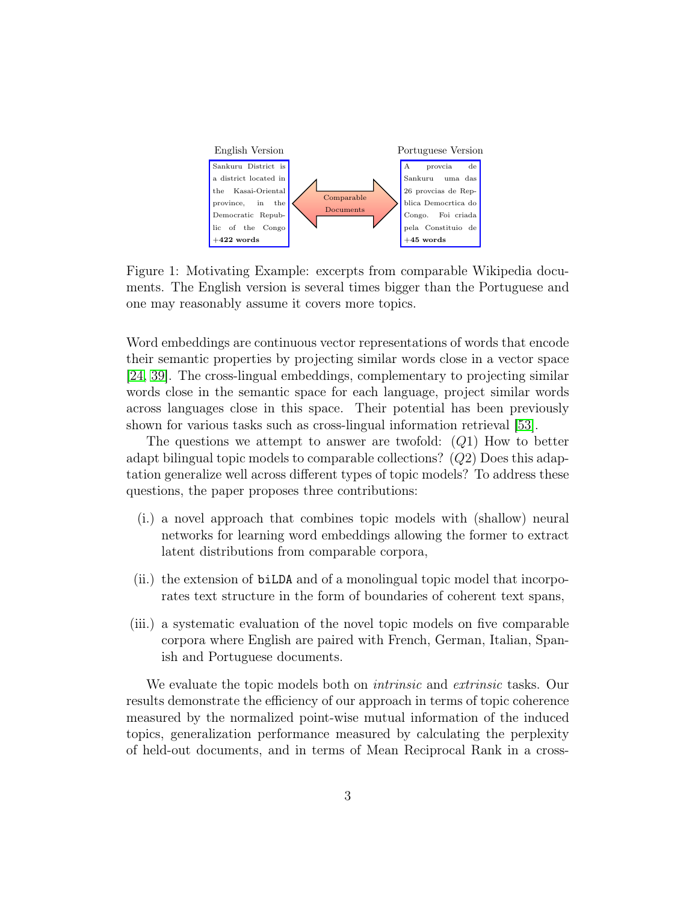

<span id="page-2-0"></span>Figure 1: Motivating Example: excerpts from comparable Wikipedia documents. The English version is several times bigger than the Portuguese and one may reasonably assume it covers more topics.

Word embeddings are continuous vector representations of words that encode their semantic properties by projecting similar words close in a vector space [\[24,](#page-28-0) [39\]](#page-29-1). The cross-lingual embeddings, complementary to projecting similar words close in the semantic space for each language, project similar words across languages close in this space. Their potential has been previously shown for various tasks such as cross-lingual information retrieval [\[53\]](#page-31-1).

The questions we attempt to answer are twofold:  $(Q1)$  How to better adapt bilingual topic models to comparable collections? (Q2) Does this adaptation generalize well across different types of topic models? To address these questions, the paper proposes three contributions:

- (i.) a novel approach that combines topic models with (shallow) neural networks for learning word embeddings allowing the former to extract latent distributions from comparable corpora,
- (ii.) the extension of biLDA and of a monolingual topic model that incorporates text structure in the form of boundaries of coherent text spans,
- (iii.) a systematic evaluation of the novel topic models on five comparable corpora where English are paired with French, German, Italian, Spanish and Portuguese documents.

We evaluate the topic models both on *intrinsic* and *extrinsic* tasks. Our results demonstrate the efficiency of our approach in terms of topic coherence measured by the normalized point-wise mutual information of the induced topics, generalization performance measured by calculating the perplexity of held-out documents, and in terms of Mean Reciprocal Rank in a cross-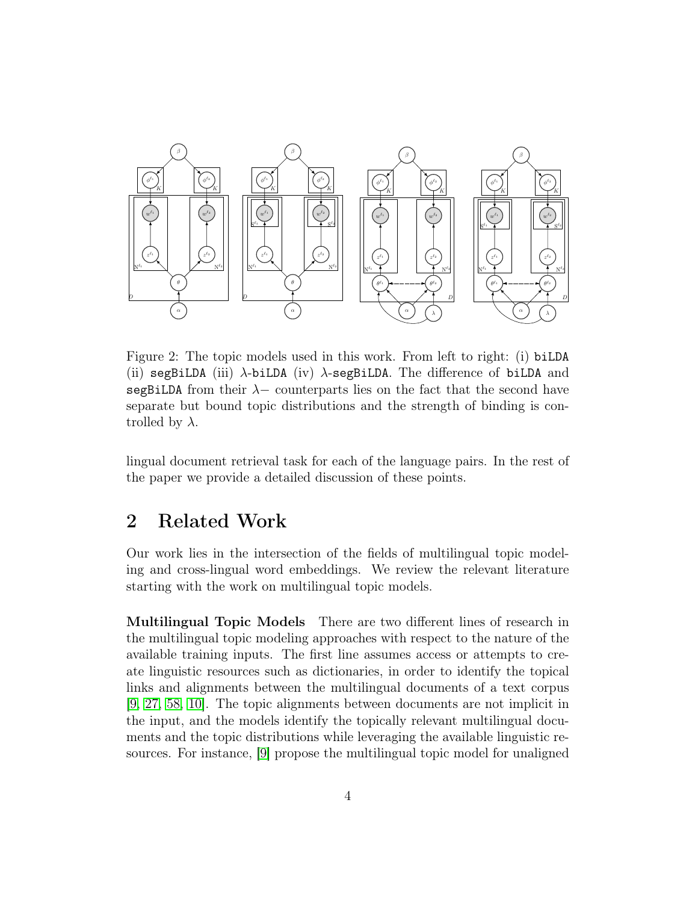

<span id="page-3-0"></span>Figure 2: The topic models used in this work. From left to right: (i) biLDA (ii) segBiLDA (iii)  $\lambda$ -biLDA (iv)  $\lambda$ -segBiLDA. The difference of biLDA and segBiLDA from their  $\lambda$  – counterparts lies on the fact that the second have separate but bound topic distributions and the strength of binding is controlled by  $\lambda$ .

lingual document retrieval task for each of the language pairs. In the rest of the paper we provide a detailed discussion of these points.

## 2 Related Work

Our work lies in the intersection of the fields of multilingual topic modeling and cross-lingual word embeddings. We review the relevant literature starting with the work on multilingual topic models.

Multilingual Topic Models There are two different lines of research in the multilingual topic modeling approaches with respect to the nature of the available training inputs. The first line assumes access or attempts to create linguistic resources such as dictionaries, in order to identify the topical links and alignments between the multilingual documents of a text corpus [\[9,](#page-27-2) [27,](#page-28-1) [58,](#page-31-2) [10\]](#page-27-3). The topic alignments between documents are not implicit in the input, and the models identify the topically relevant multilingual documents and the topic distributions while leveraging the available linguistic resources. For instance, [\[9\]](#page-27-2) propose the multilingual topic model for unaligned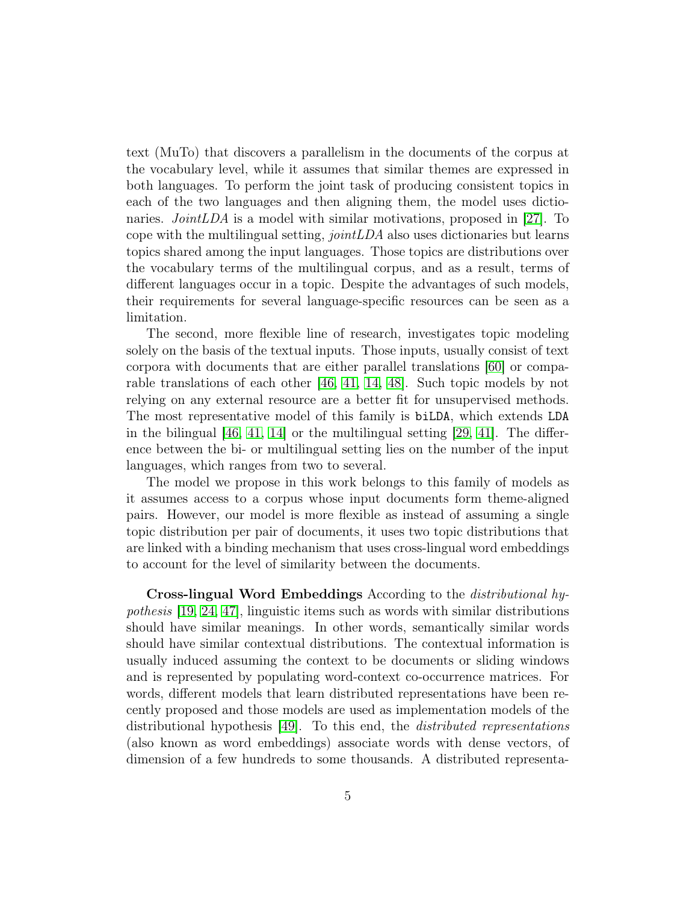text (MuTo) that discovers a parallelism in the documents of the corpus at the vocabulary level, while it assumes that similar themes are expressed in both languages. To perform the joint task of producing consistent topics in each of the two languages and then aligning them, the model uses dictionaries. *JointLDA* is a model with similar motivations, proposed in [\[27\]](#page-28-1). To cope with the multilingual setting, jointLDA also uses dictionaries but learns topics shared among the input languages. Those topics are distributions over the vocabulary terms of the multilingual corpus, and as a result, terms of different languages occur in a topic. Despite the advantages of such models, their requirements for several language-specific resources can be seen as a limitation.

The second, more flexible line of research, investigates topic modeling solely on the basis of the textual inputs. Those inputs, usually consist of text corpora with documents that are either parallel translations [\[60\]](#page-31-3) or comparable translations of each other [\[46,](#page-30-1) [41,](#page-30-0) [14,](#page-27-4) [48\]](#page-30-2). Such topic models by not relying on any external resource are a better fit for unsupervised methods. The most representative model of this family is biLDA, which extends LDA in the bilingual  $[46, 41, 14]$  $[46, 41, 14]$  $[46, 41, 14]$  or the multilingual setting  $[29, 41]$  $[29, 41]$ . The difference between the bi- or multilingual setting lies on the number of the input languages, which ranges from two to several.

The model we propose in this work belongs to this family of models as it assumes access to a corpus whose input documents form theme-aligned pairs. However, our model is more flexible as instead of assuming a single topic distribution per pair of documents, it uses two topic distributions that are linked with a binding mechanism that uses cross-lingual word embeddings to account for the level of similarity between the documents.

Cross-lingual Word Embeddings According to the distributional hypothesis [\[19,](#page-28-2) [24,](#page-28-0) [47\]](#page-30-3), linguistic items such as words with similar distributions should have similar meanings. In other words, semantically similar words should have similar contextual distributions. The contextual information is usually induced assuming the context to be documents or sliding windows and is represented by populating word-context co-occurrence matrices. For words, different models that learn distributed representations have been recently proposed and those models are used as implementation models of the distributional hypothesis [\[49\]](#page-30-4). To this end, the distributed representations (also known as word embeddings) associate words with dense vectors, of dimension of a few hundreds to some thousands. A distributed representa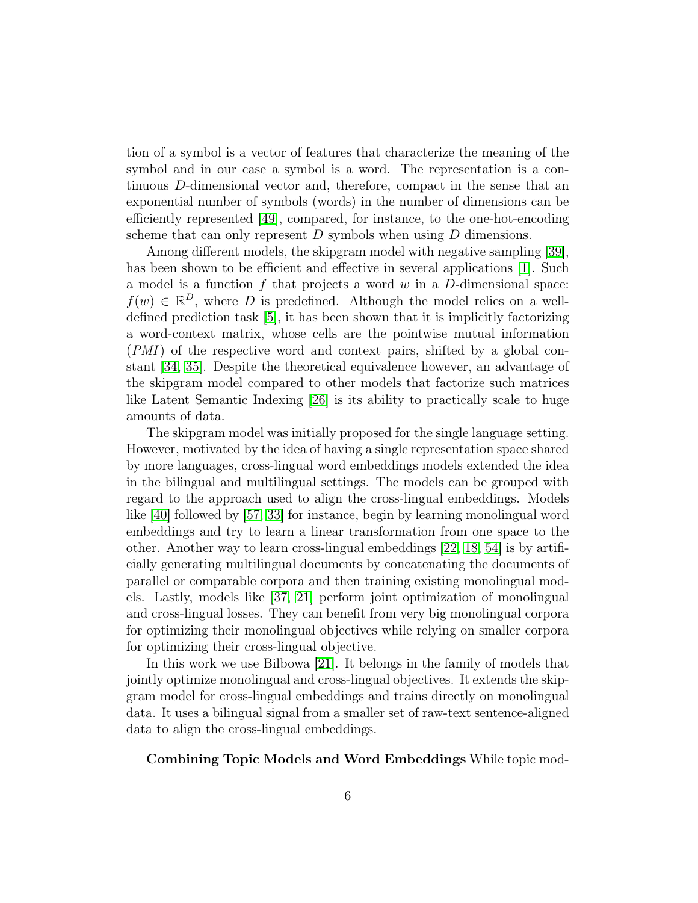tion of a symbol is a vector of features that characterize the meaning of the symbol and in our case a symbol is a word. The representation is a continuous D-dimensional vector and, therefore, compact in the sense that an exponential number of symbols (words) in the number of dimensions can be efficiently represented [\[49\]](#page-30-4), compared, for instance, to the one-hot-encoding scheme that can only represent  $D$  symbols when using  $D$  dimensions.

Among different models, the skipgram model with negative sampling [\[39\]](#page-29-1), has been shown to be efficient and effective in several applications [\[1\]](#page-26-0). Such a model is a function f that projects a word  $w$  in a D-dimensional space:  $f(w) \in \mathbb{R}^D$ , where D is predefined. Although the model relies on a welldefined prediction task [\[5\]](#page-27-5), it has been shown that it is implicitly factorizing a word-context matrix, whose cells are the pointwise mutual information (PMI) of the respective word and context pairs, shifted by a global constant [\[34,](#page-29-3) [35\]](#page-29-4). Despite the theoretical equivalence however, an advantage of the skipgram model compared to other models that factorize such matrices like Latent Semantic Indexing [\[26\]](#page-28-3) is its ability to practically scale to huge amounts of data.

The skipgram model was initially proposed for the single language setting. However, motivated by the idea of having a single representation space shared by more languages, cross-lingual word embeddings models extended the idea in the bilingual and multilingual settings. The models can be grouped with regard to the approach used to align the cross-lingual embeddings. Models like [\[40\]](#page-30-5) followed by [\[57,](#page-31-4) [33\]](#page-29-5) for instance, begin by learning monolingual word embeddings and try to learn a linear transformation from one space to the other. Another way to learn cross-lingual embeddings [\[22,](#page-28-4) [18,](#page-28-5) [54\]](#page-31-5) is by artificially generating multilingual documents by concatenating the documents of parallel or comparable corpora and then training existing monolingual models. Lastly, models like [\[37,](#page-29-6) [21\]](#page-28-6) perform joint optimization of monolingual and cross-lingual losses. They can benefit from very big monolingual corpora for optimizing their monolingual objectives while relying on smaller corpora for optimizing their cross-lingual objective.

In this work we use Bilbowa [\[21\]](#page-28-6). It belongs in the family of models that jointly optimize monolingual and cross-lingual objectives. It extends the skipgram model for cross-lingual embeddings and trains directly on monolingual data. It uses a bilingual signal from a smaller set of raw-text sentence-aligned data to align the cross-lingual embeddings.

Combining Topic Models and Word Embeddings While topic mod-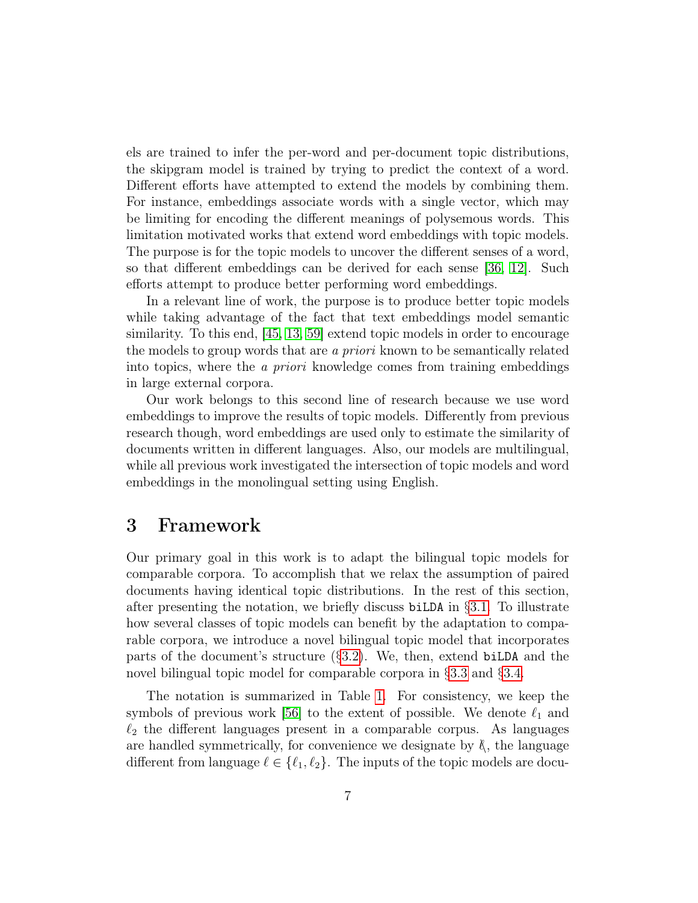els are trained to infer the per-word and per-document topic distributions, the skipgram model is trained by trying to predict the context of a word. Different efforts have attempted to extend the models by combining them. For instance, embeddings associate words with a single vector, which may be limiting for encoding the different meanings of polysemous words. This limitation motivated works that extend word embeddings with topic models. The purpose is for the topic models to uncover the different senses of a word, so that different embeddings can be derived for each sense [\[36,](#page-29-7) [12\]](#page-27-6). Such efforts attempt to produce better performing word embeddings.

In a relevant line of work, the purpose is to produce better topic models while taking advantage of the fact that text embeddings model semantic similarity. To this end, [\[45,](#page-30-6) [13,](#page-27-7) [59\]](#page-31-6) extend topic models in order to encourage the models to group words that are a priori known to be semantically related into topics, where the a priori knowledge comes from training embeddings in large external corpora.

Our work belongs to this second line of research because we use word embeddings to improve the results of topic models. Differently from previous research though, word embeddings are used only to estimate the similarity of documents written in different languages. Also, our models are multilingual, while all previous work investigated the intersection of topic models and word embeddings in the monolingual setting using English.

## 3 Framework

Our primary goal in this work is to adapt the bilingual topic models for comparable corpora. To accomplish that we relax the assumption of paired documents having identical topic distributions. In the rest of this section, after presenting the notation, we briefly discuss biLDA in §[3.1.](#page-7-0) To illustrate how several classes of topic models can benefit by the adaptation to comparable corpora, we introduce a novel bilingual topic model that incorporates parts of the document's structure (§[3.2\)](#page-8-0). We, then, extend biLDA and the novel bilingual topic model for comparable corpora in §[3.3](#page-11-0) and §[3.4.](#page-13-0)

The notation is summarized in Table [1.](#page-7-1) For consistency, we keep the symbols of previous work [\[56\]](#page-31-7) to the extent of possible. We denote  $\ell_1$  and  $\ell_2$  the different languages present in a comparable corpus. As languages are handled symmetrically, for convenience we designate by  $\ell$ , the language different from language  $\ell \in \{\ell_1, \ell_2\}$ . The inputs of the topic models are docu-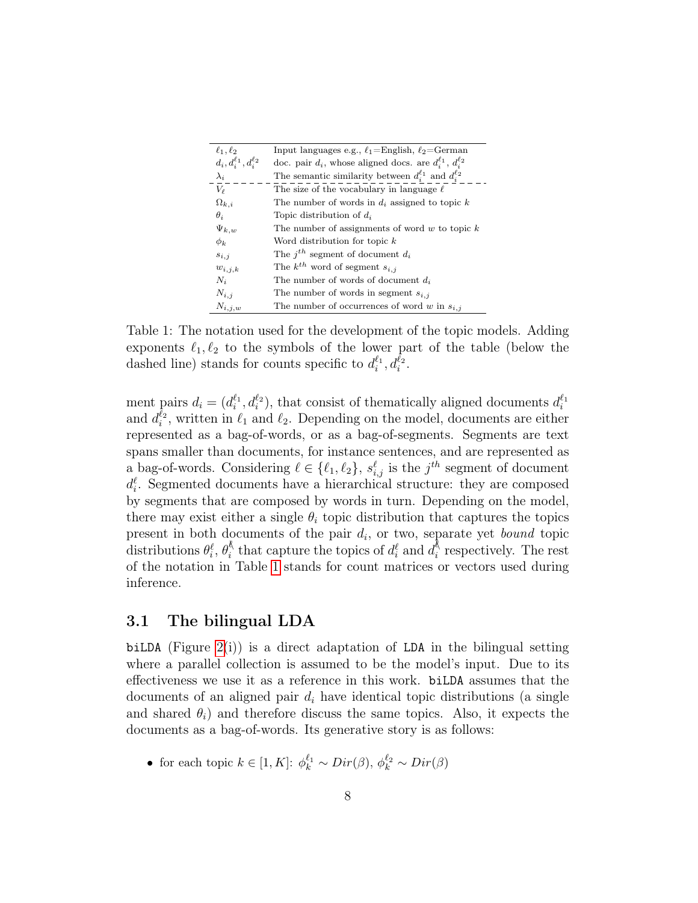| $\ell_1, \ell_2$                  | Input languages e.g., $\ell_1 =$ English, $\ell_2 =$ German            |
|-----------------------------------|------------------------------------------------------------------------|
| $d_i, d_i^{\ell_1}, d_i^{\ell_2}$ | doc. pair $d_i$ , whose aligned docs. are $d_i^{\ell_1}, d_i^{\ell_2}$ |
| $\lambda_i$                       | The semantic similarity between $d_i^{\ell_1}$ and $d_i^{\ell_2}$      |
| $V_{\ell}$                        | The size of the vocabulary in language $\ell$                          |
| $\Omega_{k,i}$                    | The number of words in $d_i$ assigned to topic k                       |
| $\theta_i$                        | Topic distribution of $d_i$                                            |
| $\Psi_{k,w}$                      | The number of assignments of word $w$ to topic $k$                     |
| $\phi_k$                          | Word distribution for topic $k$                                        |
| $s_{i,j}$                         | The $j^{th}$ segment of document $d_i$                                 |
| $w_{i,j,k}$                       | The $k^{th}$ word of segment $s_{i,j}$                                 |
| $N_i$                             | The number of words of document $d_i$                                  |
| $N_{i,j}$                         | The number of words in segment $s_{i,j}$                               |
| $N_{i,j,w}$                       | The number of occurrences of word w in $s_{i,j}$                       |

<span id="page-7-1"></span>Table 1: The notation used for the development of the topic models. Adding exponents  $\ell_1, \ell_2$  to the symbols of the lower part of the table (below the dashed line) stands for counts specific to  $d_i^{\ell_1}, d_i^{\ell_2}$ .

ment pairs  $d_i = (d_i^{\ell_1}, d_i^{\ell_2})$ , that consist of thematically aligned documents  $d_i^{\ell_1}$ and  $d_i^{\ell_2}$ , written in  $\ell_1$  and  $\ell_2$ . Depending on the model, documents are either represented as a bag-of-words, or as a bag-of-segments. Segments are text spans smaller than documents, for instance sentences, and are represented as a bag-of-words. Considering  $\ell \in \{\ell_1, \ell_2\}, s_{i,j}^{\ell}$  is the  $j^{th}$  segment of document  $d_i^{\ell}$ . Segmented documents have a hierarchical structure: they are composed by segments that are composed by words in turn. Depending on the model, there may exist either a single  $\theta_i$  topic distribution that captures the topics present in both documents of the pair  $d_i$ , or two, separate yet *bound* topic distributions  $\theta_i^{\ell}, \theta_i^{\ell}$  $\alpha_i^{\&}$  that capture the topics of  $d_i^{\ell}$  and  $d_i^{\&}$  $i$ <sup>h</sup> respectively. The rest of the notation in Table [1](#page-7-1) stands for count matrices or vectors used during inference.

#### <span id="page-7-0"></span>3.1 The bilingual LDA

biLDA (Figure  $2(i)$ ) is a direct adaptation of LDA in the bilingual setting where a parallel collection is assumed to be the model's input. Due to its effectiveness we use it as a reference in this work. biLDA assumes that the documents of an aligned pair  $d_i$  have identical topic distributions (a single and shared  $\theta_i$ ) and therefore discuss the same topics. Also, it expects the documents as a bag-of-words. Its generative story is as follows:

• for each topic  $k \in [1, K]$ :  $\phi_k^{\ell_1} \sim Dir(\beta), \phi_k^{\ell_2} \sim Dir(\beta)$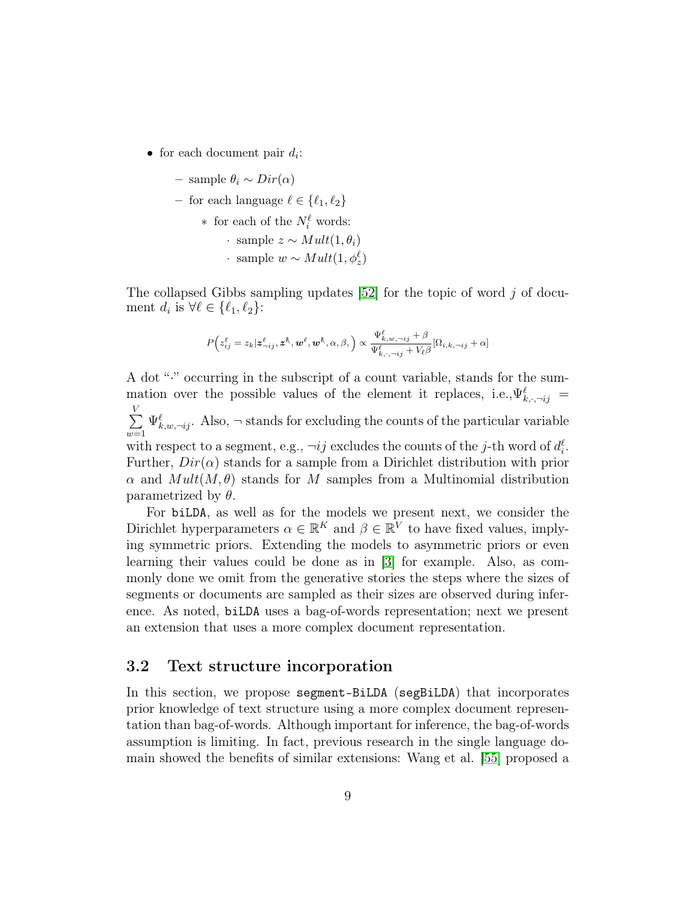• for each document pair  $d_i$ :

$$
-\ \operatorname{sample}\ \theta_i \sim Dir(\alpha)
$$

– for each language  $\ell \in \{\ell_1, \ell_2\}$ 

\* for each of the 
$$
N_i^{\ell}
$$
 words:  
\n• sample  $z \sim Mult(1, \theta_i)$   
\n• sample  $w \sim Mult(1, \phi_z^{\ell})$ 

The collapsed Gibbs sampling updates  $[52]$  for the topic of word j of document  $d_i$  is  $\forall \ell \in \{\ell_1, \ell_2\}$ :

$$
P\Big(z_{ij}^\ell=z_k|{\bm{z}}_{\neg ij}^\ell,{\bm{z}}^\ell,{\bm{w}}^\ell,{\bm{w}}^\ell,\alpha,\beta,\Big)\propto\frac{\Psi^{\ell}_{k,w,\neg ij}+\beta}{\Psi^{\ell}_{k,\cdot,\neg ij}+V_\ell\beta}[\Omega_{i,k,\neg ij}+\alpha]
$$

A dot "·" occurring in the subscript of a count variable, stands for the summation over the possible values of the element it replaces, i.e.,  $\Psi_{k,\cdot,\neg ij}^{\ell} =$  $\sum_{i=1}^{N}$  $w=1$  $\Psi_{k,w,\neg ij}^{\ell}$ . Also,  $\neg$  stands for excluding the counts of the particular variable with respect to a segment, e.g.,  $\neg ij$  excludes the counts of the j-th word of  $d_i^{\ell}$ . Further,  $Dir(\alpha)$  stands for a sample from a Dirichlet distribution with prior  $\alpha$  and  $Mult(M, \theta)$  stands for M samples from a Multinomial distribution parametrized by  $\theta$ .

For biLDA, as well as for the models we present next, we consider the Dirichlet hyperparameters  $\alpha \in \mathbb{R}^K$  and  $\beta \in \mathbb{R}^V$  to have fixed values, implying symmetric priors. Extending the models to asymmetric priors or even learning their values could be done as in [\[3\]](#page-26-1) for example. Also, as commonly done we omit from the generative stories the steps where the sizes of segments or documents are sampled as their sizes are observed during inference. As noted, biLDA uses a bag-of-words representation; next we present an extension that uses a more complex document representation.

### <span id="page-8-0"></span>3.2 Text structure incorporation

In this section, we propose segment-BiLDA (segBiLDA) that incorporates prior knowledge of text structure using a more complex document representation than bag-of-words. Although important for inference, the bag-of-words assumption is limiting. In fact, previous research in the single language domain showed the benefits of similar extensions: Wang et al. [\[55\]](#page-31-8) proposed a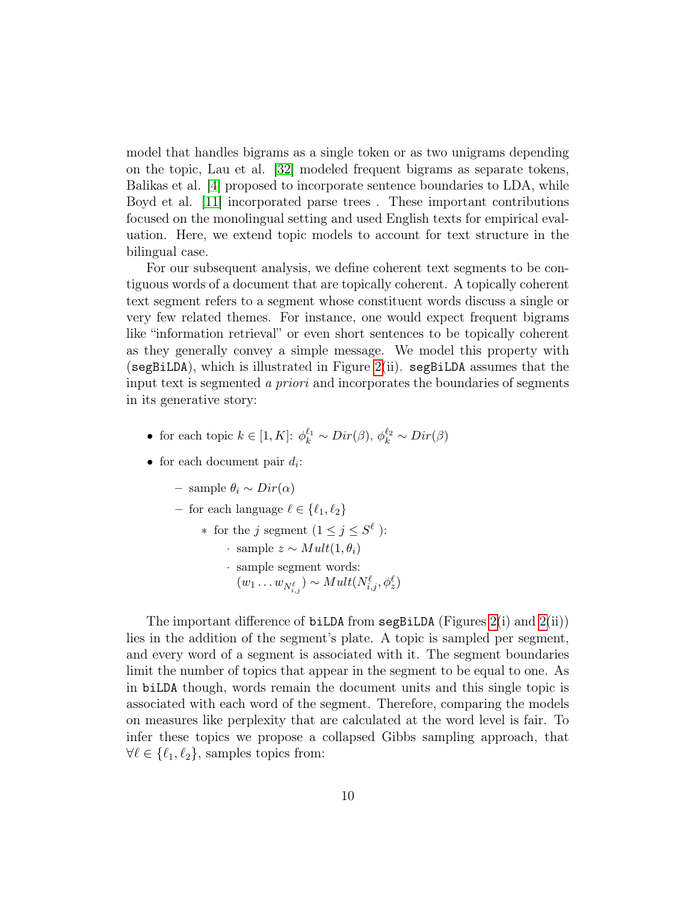model that handles bigrams as a single token or as two unigrams depending on the topic, Lau et al. [\[32\]](#page-29-8) modeled frequent bigrams as separate tokens, Balikas et al. [\[4\]](#page-27-8) proposed to incorporate sentence boundaries to LDA, while Boyd et al. [\[11\]](#page-27-9) incorporated parse trees . These important contributions focused on the monolingual setting and used English texts for empirical evaluation. Here, we extend topic models to account for text structure in the bilingual case.

For our subsequent analysis, we define coherent text segments to be contiguous words of a document that are topically coherent. A topically coherent text segment refers to a segment whose constituent words discuss a single or very few related themes. For instance, one would expect frequent bigrams like "information retrieval" or even short sentences to be topically coherent as they generally convey a simple message. We model this property with (segBiLDA), which is illustrated in Figure [2\(](#page-3-0)ii). segBiLDA assumes that the input text is segmented a priori and incorporates the boundaries of segments in its generative story:

- for each topic  $k \in [1, K]$ :  $\phi_k^{\ell_1} \sim Dir(\beta), \phi_k^{\ell_2} \sim Dir(\beta)$
- for each document pair  $d_i$ :
	- sample θ<sup>i</sup> ∼ Dir(α)
	- for each language  $\ell \in \{\ell_1, \ell_2\}$ 
		- \* for the j segment  $(1 \leq j \leq S^{\ell})$ :
			- $\cdot$  sample  $z \sim Mult(1, \theta_i)$
			- · sample segment words:  $(w_1 \ldots w_{N_{i,j}^{\ell}}) \sim Mult(N_{i,j}^{\ell}, \phi_z^{\ell})$

The important difference of biLDA from segBiLDA (Figures  $2(i)$  and  $2(ii)$ ) lies in the addition of the segment's plate. A topic is sampled per segment, and every word of a segment is associated with it. The segment boundaries limit the number of topics that appear in the segment to be equal to one. As in biLDA though, words remain the document units and this single topic is associated with each word of the segment. Therefore, comparing the models on measures like perplexity that are calculated at the word level is fair. To infer these topics we propose a collapsed Gibbs sampling approach, that  $\forall \ell \in {\ell_1, \ell_2}, \text{ samples topics from:}$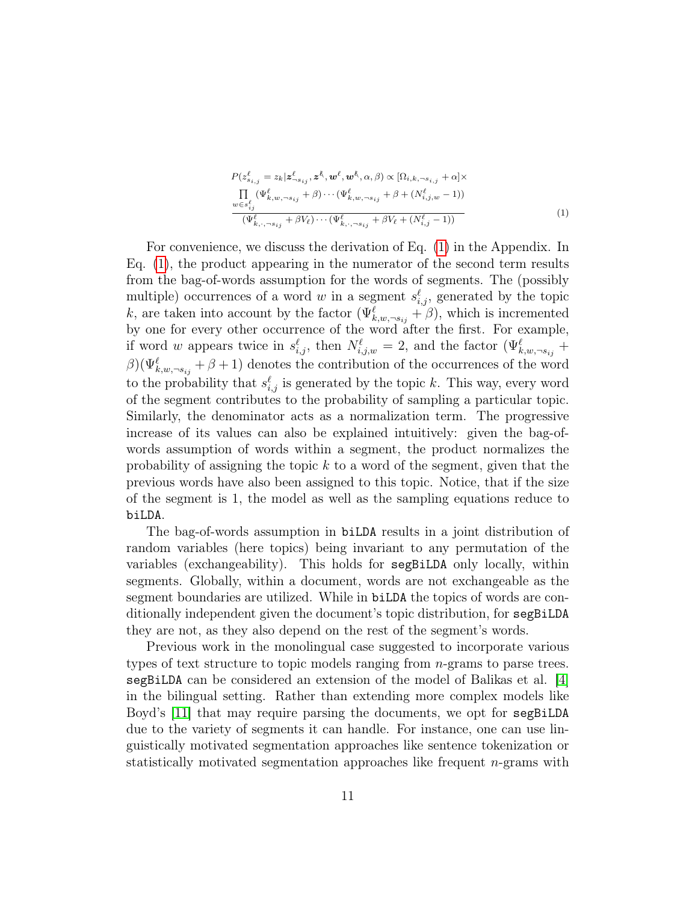<span id="page-10-0"></span>
$$
P(z_{s_{i,j}}^{\ell} = z_k | z_{-s_{ij}}, z^{\ell}, w^{\ell}, w^{\ell}, \alpha, \beta) \propto [\Omega_{i,k,-s_{i,j}} + \alpha] \times \prod_{w \in s_{ij}^{\ell}} (\Psi_{k,w,-s_{ij}}^{\ell} + \beta) \cdots (\Psi_{k,w,-s_{ij}}^{\ell} + \beta + (N_{i,j,w}^{\ell} - 1)) \times (\Psi_{k,\cdot,-s_{ij}}^{\ell} + \beta V_{\ell}) \cdots (\Psi_{k,\cdot,-s_{ij}}^{\ell} + \beta V_{\ell} + (N_{i,j}^{\ell} - 1))
$$
\n(1)

For convenience, we discuss the derivation of Eq. [\(1\)](#page-10-0) in the Appendix. In Eq. [\(1\)](#page-10-0), the product appearing in the numerator of the second term results from the bag-of-words assumption for the words of segments. The (possibly multiple) occurrences of a word w in a segment  $s_{i,j}^{\ell}$ , generated by the topic k, are taken into account by the factor  $(\Psi_{k,w,\neg s_{ij}}^{\ell} + \beta)$ , which is incremented by one for every other occurrence of the word after the first. For example, if word w appears twice in  $s_{i,j}^{\ell}$ , then  $N^{\ell}_{i,j,w} = 2$ , and the factor  $(\Psi_{k,w,\neg s_{ij}}^{\ell}$  +  $\beta$ )( $\Psi_{k,w,\neg s_{ij}}^{\ell} + \beta + 1$ ) denotes the contribution of the occurrences of the word to the probability that  $s_{i,j}^{\ell}$  is generated by the topic k. This way, every word of the segment contributes to the probability of sampling a particular topic. Similarly, the denominator acts as a normalization term. The progressive increase of its values can also be explained intuitively: given the bag-ofwords assumption of words within a segment, the product normalizes the probability of assigning the topic  $k$  to a word of the segment, given that the previous words have also been assigned to this topic. Notice, that if the size of the segment is 1, the model as well as the sampling equations reduce to biLDA.

The bag-of-words assumption in biLDA results in a joint distribution of random variables (here topics) being invariant to any permutation of the variables (exchangeability). This holds for segBiLDA only locally, within segments. Globally, within a document, words are not exchangeable as the segment boundaries are utilized. While in biLDA the topics of words are conditionally independent given the document's topic distribution, for segBiLDA they are not, as they also depend on the rest of the segment's words.

Previous work in the monolingual case suggested to incorporate various types of text structure to topic models ranging from n-grams to parse trees. segBiLDA can be considered an extension of the model of Balikas et al. [\[4\]](#page-27-8) in the bilingual setting. Rather than extending more complex models like Boyd's [\[11\]](#page-27-9) that may require parsing the documents, we opt for segBiLDA due to the variety of segments it can handle. For instance, one can use linguistically motivated segmentation approaches like sentence tokenization or statistically motivated segmentation approaches like frequent  $n$ -grams with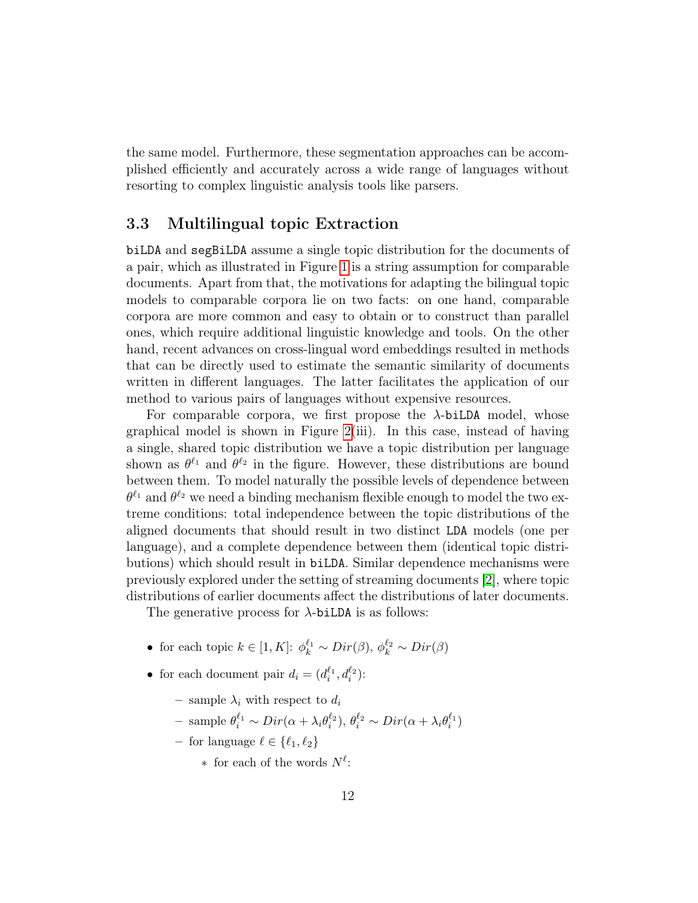the same model. Furthermore, these segmentation approaches can be accomplished efficiently and accurately across a wide range of languages without resorting to complex linguistic analysis tools like parsers.

#### <span id="page-11-0"></span>3.3 Multilingual topic Extraction

biLDA and segBiLDA assume a single topic distribution for the documents of a pair, which as illustrated in Figure [1](#page-2-0) is a string assumption for comparable documents. Apart from that, the motivations for adapting the bilingual topic models to comparable corpora lie on two facts: on one hand, comparable corpora are more common and easy to obtain or to construct than parallel ones, which require additional linguistic knowledge and tools. On the other hand, recent advances on cross-lingual word embeddings resulted in methods that can be directly used to estimate the semantic similarity of documents written in different languages. The latter facilitates the application of our method to various pairs of languages without expensive resources.

For comparable corpora, we first propose the  $\lambda$ -biLDA model, whose graphical model is shown in Figure [2\(](#page-3-0)iii). In this case, instead of having a single, shared topic distribution we have a topic distribution per language shown as  $\theta^{\ell_1}$  and  $\theta^{\ell_2}$  in the figure. However, these distributions are bound between them. To model naturally the possible levels of dependence between  $\theta^{\ell_1}$  and  $\theta^{\ell_2}$  we need a binding mechanism flexible enough to model the two extreme conditions: total independence between the topic distributions of the aligned documents that should result in two distinct LDA models (one per language), and a complete dependence between them (identical topic distributions) which should result in biLDA. Similar dependence mechanisms were previously explored under the setting of streaming documents [\[2\]](#page-26-2), where topic distributions of earlier documents affect the distributions of later documents.

The generative process for  $\lambda$ -biLDA is as follows:

- for each topic  $k \in [1, K]$ :  $\phi_k^{\ell_1} \sim Dir(\beta), \phi_k^{\ell_2} \sim Dir(\beta)$
- for each document pair  $d_i = (d_i^{\ell_1}, d_i^{\ell_2})$ :
	- sample  $\lambda_i$  with respect to  $d_i$
	- sample  $\theta_i^{\ell_1} \sim Dir(\alpha + \lambda_i \theta_i^{\ell_2}), \theta_i^{\ell_2} \sim Dir(\alpha + \lambda_i \theta_i^{\ell_1})$
	- for language  $\ell \in \{\ell_1, \ell_2\}$ 
		- $*$  for each of the words  $N^{\ell}$ :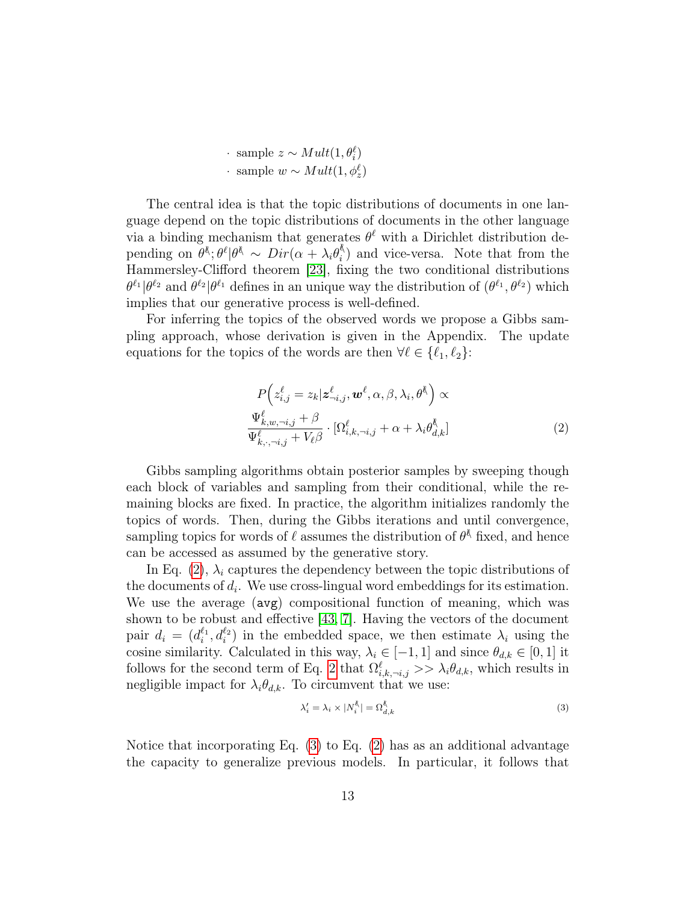· sample  $z \sim Mult(1, θ^{\ell})$ • sample  $w \sim Mult(1, φ_{z}^{\ell})$ 

The central idea is that the topic distributions of documents in one language depend on the topic distributions of documents in the other language via a binding mechanism that generates  $\theta^{\ell}$  with a Dirichlet distribution depending on  $\theta^{\&}$ ;  $\theta^{\ell}|\theta^{\&} \sim Dir(\alpha + \lambda_i\theta_i^{\&})$  $i \choose i$  and vice-versa. Note that from the Hammersley-Clifford theorem [\[23\]](#page-28-7), fixing the two conditional distributions  $\theta^{\ell_1}|\theta^{\ell_2}$  and  $\theta^{\ell_2}|\theta^{\ell_1}$  defines in an unique way the distribution of  $(\theta^{\ell_1}, \theta^{\ell_2})$  which implies that our generative process is well-defined.

For inferring the topics of the observed words we propose a Gibbs sampling approach, whose derivation is given in the Appendix. The update equations for the topics of the words are then  $\forall \ell \in \{\ell_1, \ell_2\}$ :

<span id="page-12-0"></span>
$$
P\left(z_{i,j}^{\ell} = z_k | \mathbf{z}_{-i,j}^{\ell}, \mathbf{w}^{\ell}, \alpha, \beta, \lambda_i, \theta^k\right) \propto
$$
  

$$
\frac{\Psi_{k,w,-i,j}^{\ell} + \beta}{\Psi_{k,\cdot,-i,j}^{\ell} + V_{\ell}\beta} \cdot [\Omega_{i,k,-i,j}^{\ell} + \alpha + \lambda_i \theta_{d,k}^k]
$$
 (2)

Gibbs sampling algorithms obtain posterior samples by sweeping though each block of variables and sampling from their conditional, while the remaining blocks are fixed. In practice, the algorithm initializes randomly the topics of words. Then, during the Gibbs iterations and until convergence, sampling topics for words of  $\ell$  assumes the distribution of  $\theta^{\xi}$  fixed, and hence can be accessed as assumed by the generative story.

In Eq. [\(2\)](#page-12-0),  $\lambda_i$  captures the dependency between the topic distributions of the documents of  $d_i$ . We use cross-lingual word embeddings for its estimation. We use the average (avg) compositional function of meaning, which was shown to be robust and effective [\[43,](#page-30-7) [7\]](#page-27-10). Having the vectors of the document pair  $d_i = (d_i^{\ell_1}, d_i^{\ell_2})$  in the embedded space, we then estimate  $\lambda_i$  using the cosine similarity. Calculated in this way,  $\lambda_i \in [-1, 1]$  and since  $\theta_{d,k} \in [0, 1]$  it follows for the second term of Eq. [2](#page-12-0) that  $\Omega_{i,k,\neg i,j}^{\ell} \gg \lambda_i \theta_{d,k}$ , which results in negligible impact for  $\lambda_i \theta_{d,k}$ . To circumvent that we use:

<span id="page-12-1"></span>
$$
\lambda_i' = \lambda_i \times |N_i^{\ell}| = \Omega_{d,k}^{\ell} \tag{3}
$$

Notice that incorporating Eq.  $(3)$  to Eq.  $(2)$  has as an additional advantage the capacity to generalize previous models. In particular, it follows that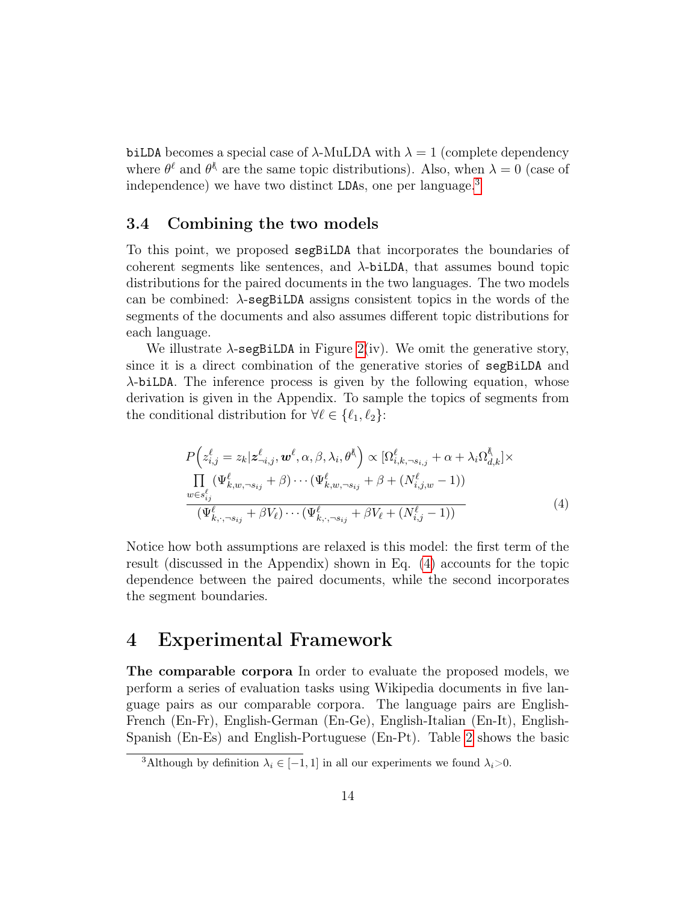biLDA becomes a special case of  $\lambda$ -MuLDA with  $\lambda = 1$  (complete dependency where  $\theta^{\ell}$  and  $\theta^{\ell}$  are the same topic distributions). Also, when  $\lambda = 0$  (case of independence) we have two distinct LDAs, one per language.<sup>[3](#page-13-1)</sup>

#### <span id="page-13-0"></span>3.4 Combining the two models

To this point, we proposed segBiLDA that incorporates the boundaries of coherent segments like sentences, and  $\lambda$ -biLDA, that assumes bound topic distributions for the paired documents in the two languages. The two models can be combined:  $\lambda$ -segBiLDA assigns consistent topics in the words of the segments of the documents and also assumes different topic distributions for each language.

We illustrate  $\lambda$ -segBiLDA in Figure [2\(](#page-3-0)iv). We omit the generative story, since it is a direct combination of the generative stories of segBiLDA and λ-biLDA. The inference process is given by the following equation, whose derivation is given in the Appendix. To sample the topics of segments from the conditional distribution for  $\forall \ell \in \{\ell_1, \ell_2\}$ :

<span id="page-13-2"></span>
$$
P\left(z_{i,j}^{\ell} = z_k | z_{-i,j}^{\ell}, \mathbf{w}^{\ell}, \alpha, \beta, \lambda_i, \theta^{\ell}\right) \propto [\Omega_{i,k,\neg s_{i,j}}^{\ell} + \alpha + \lambda_i \Omega_{d,k}^{\ell}] \times \prod_{w \in s_{i,j}^{\ell}} (\Psi_{k,w,\neg s_{i,j}}^{\ell} + \beta) \cdots (\Psi_{k,w,\neg s_{i,j}}^{\ell} + \beta + (N_{i,j,w}^{\ell} - 1))
$$
  

$$
\frac{\Psi_{k,\neg s_{i,j}}^{\ell}}{(\Psi_{k,\neg s_{i,j}}^{\ell} + \beta V_{\ell}) \cdots (\Psi_{k,\neg s_{i,j}}^{\ell} + \beta V_{\ell} + (N_{i,j}^{\ell} - 1))}
$$
(4)

Notice how both assumptions are relaxed is this model: the first term of the result (discussed in the Appendix) shown in Eq. [\(4\)](#page-13-2) accounts for the topic dependence between the paired documents, while the second incorporates the segment boundaries.

## 4 Experimental Framework

The comparable corpora In order to evaluate the proposed models, we perform a series of evaluation tasks using Wikipedia documents in five language pairs as our comparable corpora. The language pairs are English-French (En-Fr), English-German (En-Ge), English-Italian (En-It), English-Spanish (En-Es) and English-Portuguese (En-Pt). Table [2](#page-14-0) shows the basic

<span id="page-13-1"></span><sup>&</sup>lt;sup>3</sup>Although by definition  $\lambda_i \in [-1, 1]$  in all our experiments we found  $\lambda_i > 0$ .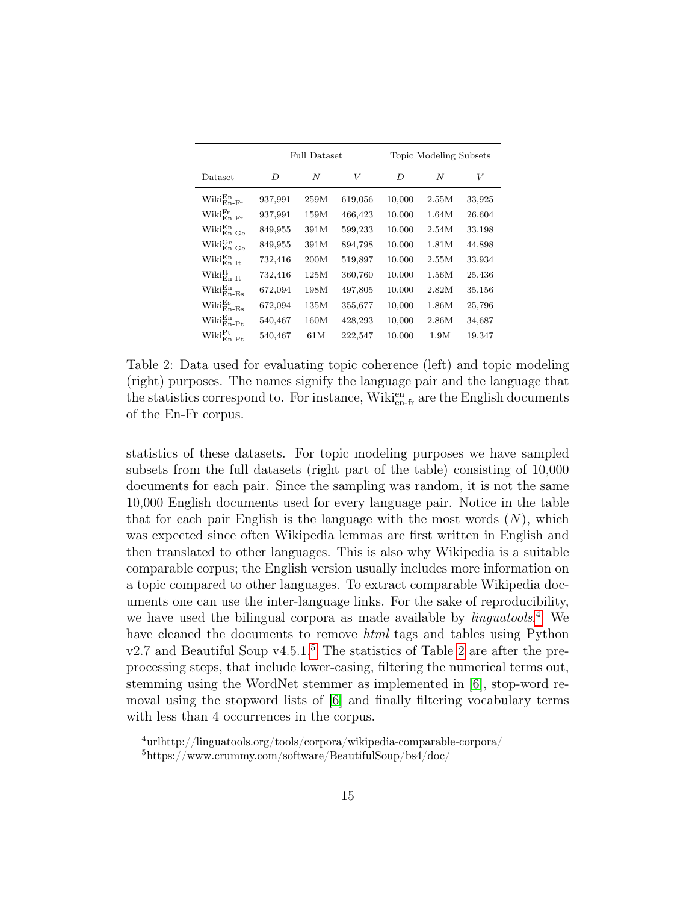|                                           |         | <b>Full Dataset</b> |         |        | Topic Modeling Subsets |        |
|-------------------------------------------|---------|---------------------|---------|--------|------------------------|--------|
| Dataset                                   | D       | N                   | V       | D      | N                      | V      |
| $\text{Wiki}_{\rm En\text{-}Fr}^{\rm En}$ | 937,991 | 259M                | 619,056 | 10,000 | 2.55M                  | 33,925 |
| $\text{Wiki}_{\text{En-Fr}}^{\text{Fr}}$  | 937,991 | 159M                | 466,423 | 10,000 | 1.64M                  | 26,604 |
| $\text{Wiki}_{\text{En-Ge}}^{\text{En}}$  | 849,955 | 391M                | 599,233 | 10,000 | 2.54M                  | 33,198 |
| $\text{Wiki}_{\text{En-Ge}}^{\text{Ge}}$  | 849,955 | 391M                | 894,798 | 10,000 | 1.81M                  | 44,898 |
| $\text{Wiki}_{\text{En-It}}^{\text{En}}$  | 732,416 | 200M                | 519,897 | 10,000 | 2.55M                  | 33,934 |
| $\text{Wiki}_{\text{En-It}}^{\text{It}}$  | 732,416 | 125M                | 360,760 | 10,000 | 1.56M                  | 25,436 |
| $\text{Wiki}_{\rm En-Es}^{\rm En}$        | 672,094 | 198M                | 497,805 | 10,000 | 2.82M                  | 35,156 |
| $\text{Wiki}_{\text{En-Es}}^{\text{Es}}$  | 672,094 | 135M                | 355,677 | 10,000 | 1.86M                  | 25,796 |
| $\text{Wiki}_{\text{En-Pt}}^{\text{En}}$  | 540,467 | $160\mathrm{M}$     | 428,293 | 10,000 | 2.86M                  | 34,687 |
| $\text{Wiki}_{\rm En\text{-}Pt}^{\rm Pt}$ | 540,467 | 61 M                | 222,547 | 10,000 | 1.9M                   | 19,347 |

<span id="page-14-0"></span>Table 2: Data used for evaluating topic coherence (left) and topic modeling (right) purposes. The names signify the language pair and the language that the statistics correspond to. For instance,  $\text{Wiki}_{\text{en-fr}}^{\text{en}}$  are the English documents of the En-Fr corpus.

statistics of these datasets. For topic modeling purposes we have sampled subsets from the full datasets (right part of the table) consisting of 10,000 documents for each pair. Since the sampling was random, it is not the same 10,000 English documents used for every language pair. Notice in the table that for each pair English is the language with the most words  $(N)$ , which was expected since often Wikipedia lemmas are first written in English and then translated to other languages. This is also why Wikipedia is a suitable comparable corpus; the English version usually includes more information on a topic compared to other languages. To extract comparable Wikipedia documents one can use the inter-language links. For the sake of reproducibility, we have used the bilingual corpora as made available by *linguatools*.<sup>[4](#page-14-1)</sup> We have cleaned the documents to remove *html* tags and tables using Python  $v2.7$  and Beautiful Soup  $v4.5.1<sup>5</sup>$  $v4.5.1<sup>5</sup>$  $v4.5.1<sup>5</sup>$ . The statistics of Table [2](#page-14-0) are after the preprocessing steps, that include lower-casing, filtering the numerical terms out, stemming using the WordNet stemmer as implemented in [\[6\]](#page-27-11), stop-word removal using the stopword lists of [\[6\]](#page-27-11) and finally filtering vocabulary terms with less than 4 occurrences in the corpus.

<span id="page-14-2"></span><span id="page-14-1"></span><sup>4</sup>urlhttp://linguatools.org/tools/corpora/wikipedia-comparable-corpora/ <sup>5</sup>https://www.crummy.com/software/BeautifulSoup/bs4/doc/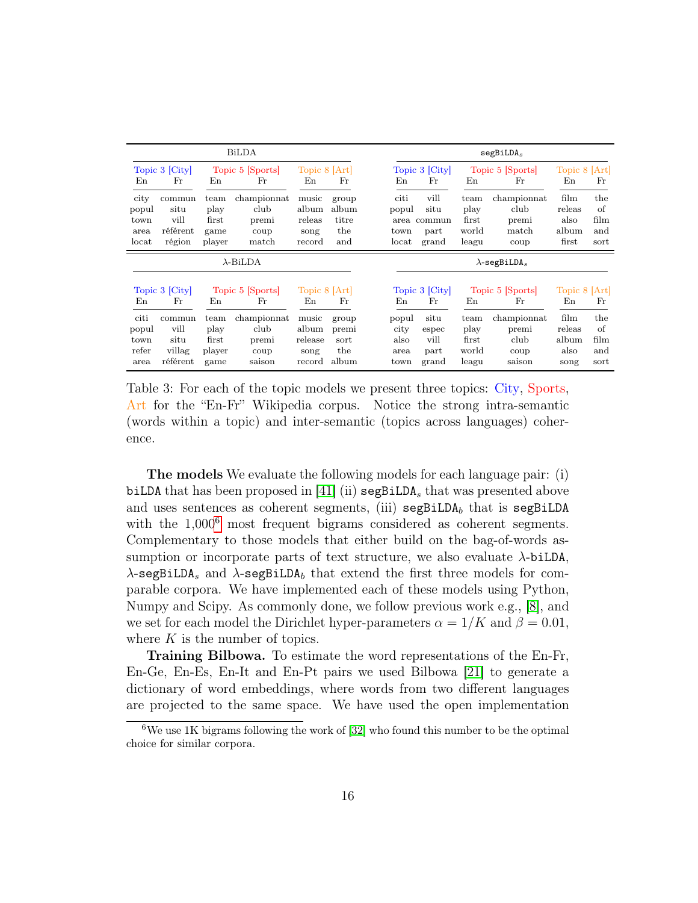| <b>BiLDA</b>                           |                                                          |                                         |                                                                |                                                          |                                       |                                        |                                                       |                                         | segBiLDA <sub>s</sub>                                                   |                                                        |                                  |
|----------------------------------------|----------------------------------------------------------|-----------------------------------------|----------------------------------------------------------------|----------------------------------------------------------|---------------------------------------|----------------------------------------|-------------------------------------------------------|-----------------------------------------|-------------------------------------------------------------------------|--------------------------------------------------------|----------------------------------|
| En                                     | Topic 3 [City]<br>Fr                                     | En                                      | Topic 5 [Sports]<br>Fr                                         | Topic 8 [Art]<br>En                                      | Fr                                    | En                                     | Topic 3 [City]<br>Fr                                  | En                                      | Topic 5 [Sports]<br>Fr                                                  | Topic 8 [Art]<br>En                                    | Fr                               |
| city<br>popul<br>town<br>area<br>locat | commun<br>situ<br>vill<br>référent<br>région             | team<br>play<br>first<br>game<br>player | championnat<br>club<br>premi<br>coup<br>match                  | music<br>album<br>releas<br>song<br>record               | group<br>album<br>titre<br>the<br>and | citi<br>popul<br>area<br>town<br>locat | vill<br>situ<br>commun<br>part<br>grand               | team<br>play<br>first<br>world<br>leagu | championnat<br>club<br>premi<br>match<br>coup                           | film<br>releas<br>also<br>album<br>first               | the<br>οf<br>film<br>and<br>sort |
| $\lambda$ -BiLDA                       |                                                          |                                         |                                                                |                                                          |                                       |                                        |                                                       | $\lambda$ -segBiLDA <sub>s</sub>        |                                                                         |                                                        |                                  |
| En<br>citi<br>popul<br>town<br>refer   | Topic 3 [City]<br>Fr<br>commun<br>vill<br>situ<br>villag | En<br>team<br>play<br>first<br>player   | Topic 5 [Sports]<br>Fr<br>championnat<br>club<br>premi<br>coup | Topic 8 [Art]<br>En<br>music<br>album<br>release<br>song | Fr<br>group<br>premi<br>sort<br>the   | En<br>popul<br>city<br>also<br>area    | Topic 3 [City]<br>Fr<br>situ<br>espec<br>vill<br>part | En<br>team<br>play<br>first<br>world    | Topic 5 [Sports]<br>$_{\rm Fr}$<br>championnat<br>premi<br>club<br>coup | Topic 8 [Art]<br>En<br>film<br>releas<br>album<br>also | Fr<br>the<br>οf<br>film<br>and   |
| area                                   | référent                                                 | game                                    | saison                                                         | record                                                   | album                                 | town                                   | grand                                                 | leagu                                   | saison                                                                  | song                                                   | sort                             |

<span id="page-15-1"></span>Table 3: For each of the topic models we present three topics: City, Sports, Art for the "En-Fr" Wikipedia corpus. Notice the strong intra-semantic (words within a topic) and inter-semantic (topics across languages) coherence.

The models We evaluate the following models for each language pair: (i) biLDA that has been proposed in [\[41\]](#page-30-0) (ii)  $\epsilon$  segBiLDA<sub>s</sub> that was presented above and uses sentences as coherent segments, (iii)  $\texttt{segBiLDA}_b$  that is  $\texttt{segBiLDA}$ with the  $1,000^6$  $1,000^6$  most frequent bigrams considered as coherent segments. Complementary to those models that either build on the bag-of-words assumption or incorporate parts of text structure, we also evaluate  $\lambda$ -biLDA,  $\lambda$ -segBiLDA<sub>s</sub> and  $\lambda$ -segBiLDA<sub>b</sub> that extend the first three models for comparable corpora. We have implemented each of these models using Python, Numpy and Scipy. As commonly done, we follow previous work e.g., [\[8\]](#page-27-0), and we set for each model the Dirichlet hyper-parameters  $\alpha = 1/K$  and  $\beta = 0.01$ , where  $K$  is the number of topics.

Training Bilbowa. To estimate the word representations of the En-Fr, En-Ge, En-Es, En-It and En-Pt pairs we used Bilbowa [\[21\]](#page-28-6) to generate a dictionary of word embeddings, where words from two different languages are projected to the same space. We have used the open implementation

<span id="page-15-0"></span> $6$ We use 1K bigrams following the work of [\[32\]](#page-29-8) who found this number to be the optimal choice for similar corpora.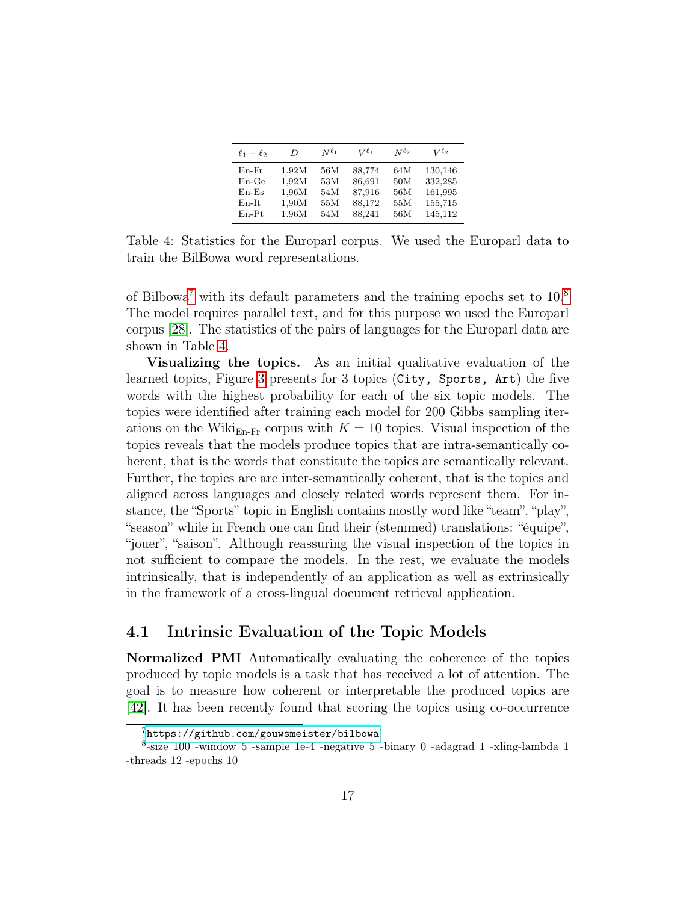| $\ell_1-\ell_2$ | D     | $N^{\ell_1}$ | $V^{\ell_1}$ | $N^{\ell_2}$ | $V^{\ell_2}$ |
|-----------------|-------|--------------|--------------|--------------|--------------|
| $En-Fr$         | 1.92M | 56M          | 88.774       | 64M          | 130,146      |
| $En-Ge$         | 1,92M | 53M          | 86,691       | 50M          | 332,285      |
| $En$ -Es        | 1,96M | 54M          | 87,916       | 56M          | 161,995      |
| $En-It$         | 1,90M | 55M          | 88,172       | 55M          | 155,715      |
| $En-Pt$         | 1.96M | 54M          | 88,241       | 56M          | 145,112      |

<span id="page-16-2"></span>Table 4: Statistics for the Europarl corpus. We used the Europarl data to train the BilBowa word representations.

of Bilbowa[7](#page-16-0) with its default parameters and the training epochs set to 10.[8](#page-16-1) The model requires parallel text, and for this purpose we used the Europarl corpus [\[28\]](#page-29-9). The statistics of the pairs of languages for the Europarl data are shown in Table [4.](#page-16-2)

Visualizing the topics. As an initial qualitative evaluation of the learned topics, Figure [3](#page-15-1) presents for 3 topics (City, Sports, Art) the five words with the highest probability for each of the six topic models. The topics were identified after training each model for 200 Gibbs sampling iterations on the Wiki<sub>En-Fr</sub> corpus with  $K = 10$  topics. Visual inspection of the topics reveals that the models produce topics that are intra-semantically coherent, that is the words that constitute the topics are semantically relevant. Further, the topics are are inter-semantically coherent, that is the topics and aligned across languages and closely related words represent them. For instance, the "Sports" topic in English contains mostly word like "team", "play", "season" while in French one can find their (stemmed) translations: "équipe", "jouer", "saison". Although reassuring the visual inspection of the topics in not sufficient to compare the models. In the rest, we evaluate the models intrinsically, that is independently of an application as well as extrinsically in the framework of a cross-lingual document retrieval application.

### 4.1 Intrinsic Evaluation of the Topic Models

Normalized PMI Automatically evaluating the coherence of the topics produced by topic models is a task that has received a lot of attention. The goal is to measure how coherent or interpretable the produced topics are [\[42\]](#page-30-8). It has been recently found that scoring the topics using co-occurrence

<span id="page-16-1"></span><span id="page-16-0"></span><sup>7</sup><https://github.com/gouwsmeister/bilbowa>

 $8$ -size 100 -window 5 -sample 1e-4 -negative 5 -binary 0 -adagrad 1 -xling-lambda 1 -threads 12 -epochs 10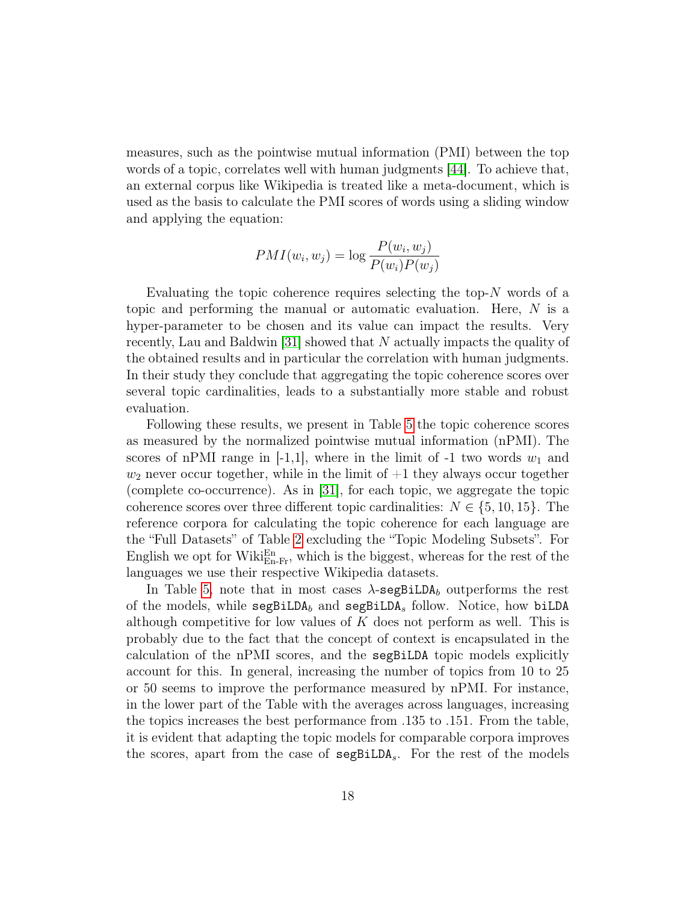measures, such as the pointwise mutual information (PMI) between the top words of a topic, correlates well with human judgments [\[44\]](#page-30-9). To achieve that, an external corpus like Wikipedia is treated like a meta-document, which is used as the basis to calculate the PMI scores of words using a sliding window and applying the equation:

$$
PMI(w_i, w_j) = \log \frac{P(w_i, w_j)}{P(w_i)P(w_j)}
$$

Evaluating the topic coherence requires selecting the top- $N$  words of a topic and performing the manual or automatic evaluation. Here, N is a hyper-parameter to be chosen and its value can impact the results. Very recently, Lau and Baldwin [\[31\]](#page-29-10) showed that N actually impacts the quality of the obtained results and in particular the correlation with human judgments. In their study they conclude that aggregating the topic coherence scores over several topic cardinalities, leads to a substantially more stable and robust evaluation.

Following these results, we present in Table [5](#page-18-0) the topic coherence scores as measured by the normalized pointwise mutual information (nPMI). The scores of nPMI range in  $[-1,1]$ , where in the limit of  $-1$  two words  $w_1$  and  $w_2$  never occur together, while in the limit of  $+1$  they always occur together (complete co-occurrence). As in [\[31\]](#page-29-10), for each topic, we aggregate the topic coherence scores over three different topic cardinalities:  $N \in \{5, 10, 15\}$ . The reference corpora for calculating the topic coherence for each language are the "Full Datasets" of Table [2](#page-14-0) excluding the "Topic Modeling Subsets". For English we opt for Wiki $_{\text{En-Fr}}^{\text{En}}$ , which is the biggest, whereas for the rest of the languages we use their respective Wikipedia datasets.

In Table [5,](#page-18-0) note that in most cases  $\lambda$ -segBiLDA<sub>b</sub> outperforms the rest of the models, while  $\texttt{seqBilDA}_b$  and  $\texttt{seqBilDA}_s$  follow. Notice, how biLDA although competitive for low values of  $K$  does not perform as well. This is probably due to the fact that the concept of context is encapsulated in the calculation of the nPMI scores, and the segBiLDA topic models explicitly account for this. In general, increasing the number of topics from 10 to 25 or 50 seems to improve the performance measured by nPMI. For instance, in the lower part of the Table with the averages across languages, increasing the topics increases the best performance from .135 to .151. From the table, it is evident that adapting the topic models for comparable corpora improves the scores, apart from the case of segBiLDAs. For the rest of the models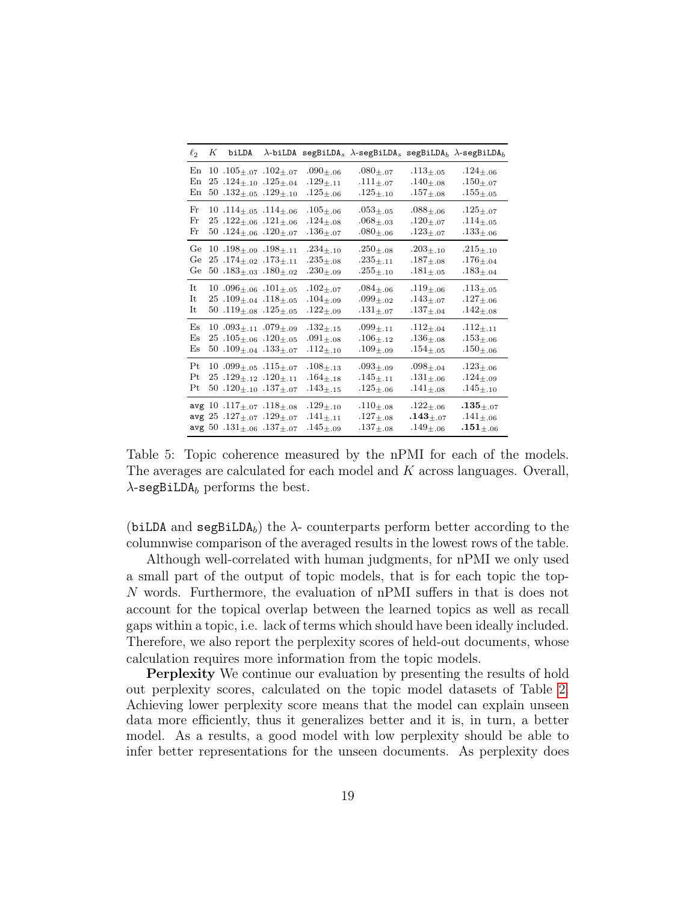| $\ell_2$                                           | $K$ biLDA                                                                                                                    |                                                             | $\lambda$ -biLDA segBiLDA <sub>s</sub> $\lambda$ -segBiLDA <sub>s</sub> segBiLDA <sub>b</sub> $\lambda$ -segBiLDA <sub>b</sub> |                                                                      |                                                                          |
|----------------------------------------------------|------------------------------------------------------------------------------------------------------------------------------|-------------------------------------------------------------|--------------------------------------------------------------------------------------------------------------------------------|----------------------------------------------------------------------|--------------------------------------------------------------------------|
| En<br>En<br>En                                     | $10.105_{\pm.07}$ $.102_{\pm.07}$<br>$25.124_{\pm.10}$ .125 $_{\pm.04}$<br>$50.132_{\pm.05}.129_{\pm.10}$                    | $.090 + .06$<br>$.129_{ \pm .11}$<br>$.125_{ \pm .06}$      | $.080_{+.07}$<br>$.111_{ \pm .07}$<br>$.125_{ \pm .10}$                                                                        | $.113_{+.05}$<br>$.140_{ \pm .08}$<br>$.157_{ \pm .08}$              | $.124_{ \pm .06}$<br>$.150_{ \pm .07}$<br>$.155_{ \pm .05}$              |
| Fr<br>Fr<br>$_{\rm Fr}$                            | 10 .114 $\pm$ .05 .114 $\pm$ .06<br>$25.122_{\pm.06}.121_{\pm.06}$<br>50 .124 $\pm$ .06 .120 $\pm$ .07                       | $.105_{ \pm .06}$<br>$.124_{ \pm .08}$<br>$.136_{ \pm .07}$ | $.053 + 0.5$<br>$.068_{ \pm .03}$<br>$.080_{ \pm .06}$                                                                         | $.088_{+.06}$<br>$.120_{ \pm .07}$<br>$.123_{ \pm .07}$              | $.125_{ \pm .07}$<br>$.114_{ \pm .05}$<br>$.133_{ \pm .06}$              |
| Ge<br>Ge<br>Ge                                     | 10 .198 $\pm$ .09 .198 $\pm$ .11<br>$25.174_{\pm.02}.173_{\pm.11}$<br>50 .183 $\pm$ .03 .180 $\pm$ .02                       | $.234_{ \pm .10}$<br>$.235_{ \pm .08}$<br>$.230_{+.09}$     | $.250_{ \pm .08}$<br>$.235_{ \pm .11}$<br>$.255_{ \pm .10}$                                                                    | $.203 + .10$<br>$.187_{ \pm .08}$<br>$.181_{ \pm .05}$               | $.215 + .10$<br>$.176_{ \pm .04}$<br>$.183_{ \pm .04}$                   |
| It<br>It<br>It                                     | 10.096 $\pm$ .06.101 $\pm$ .05<br>$25.109_{\pm.04}.118_{\pm.05}$<br>50.119 $\pm$ .08.125 $\pm$ .05                           | $.102_{ \pm .07}$<br>$.104_{ \pm .09}$<br>$.122_{ \pm .09}$ | $.084_{+.06}$<br>$.099_{ \pm .02}$<br>$.131_{ \pm .07}$                                                                        | $.119_{+.06}$<br>$.143_{+.07}$<br>$.137_{ \pm .04}$                  | $.113_{+.05}$<br>$.127_{ \pm .06}$<br>$.142_{ \pm .08}$                  |
| E <sub>S</sub><br>E <sub>S</sub><br>E <sub>S</sub> | $10.093_{\pm.11}$ .079 <sub><math>\pm.09</math></sub><br>$25.105_{\pm.06}$ $.120_{\pm.05}$<br>50 .109 $\pm$ 04 .133 $\pm$ 07 | $.132_{ \pm .15}$<br>$.091_{ \pm .08}$<br>$.112_{ \pm .10}$ | $.099_{\pm.11}$<br>$.106 + .12$<br>$.109_{ \pm .09}$                                                                           | $.112_{+.04}$<br>$.136_{ \pm .08}$<br>$.154_{ \pm .05}$              | $.112_{+.11}$<br>$.153_{ \pm .06}$<br>$.150_{ \pm .06}$                  |
| Pt<br>Pt<br>Pt                                     | $10.099_{\pm.05}$ .115 <sub><math>\pm.07</math></sub><br>$25.129_{\pm.12}.120_{\pm.11}$<br>50.120 $\pm$ 10.137 $\pm$ 07      | $.108_{ \pm .13}$<br>$.164_{ \pm .18}$<br>$.143_{ \pm .15}$ | $.093$ +.09<br>$.145_{ \pm .11}$<br>$.125_{ \pm .06}$                                                                          | $.098_{\pm .04}$<br>$.131_{ \pm .06}$<br>$.141_{ \pm .08}$           | $.123_{ \pm .06}$<br>$.124_{ \pm .09}$<br>$.145_{ \pm .10}$              |
|                                                    | avg 10 .117 $\pm$ .07 .118 $\pm$ .08<br>avg $25$ . $127_{\pm.07}$ . $129_{\pm.07}$<br>avg 50 .131 $\pm$ .06 .137 $\pm$ .07   | $.129_{ \pm .10}$<br>$.141_{ \pm .11}$<br>$.145_{ \pm .09}$ | $.110_{ \pm .08}$<br>$.127_{ \pm .08}$<br>$.137_{ \pm .08}$                                                                    | $.122_{+.06}$<br>$\boldsymbol{.143}_{ \pm .07}$<br>$.149_{ \pm .06}$ | $\boldsymbol{.135}_{ \pm .07}$<br>$.141_{ \pm .06}$<br>$.151_{ \pm .06}$ |

<span id="page-18-0"></span>Table 5: Topic coherence measured by the nPMI for each of the models. The averages are calculated for each model and K across languages. Overall,  $\lambda$ -segBiLDA<sub>b</sub> performs the best.

(biLDA and segBiLDA<sub>b</sub>) the  $\lambda$ - counterparts perform better according to the columnwise comparison of the averaged results in the lowest rows of the table.

Although well-correlated with human judgments, for nPMI we only used a small part of the output of topic models, that is for each topic the top-N words. Furthermore, the evaluation of nPMI suffers in that is does not account for the topical overlap between the learned topics as well as recall gaps within a topic, i.e. lack of terms which should have been ideally included. Therefore, we also report the perplexity scores of held-out documents, whose calculation requires more information from the topic models.

Perplexity We continue our evaluation by presenting the results of hold out perplexity scores, calculated on the topic model datasets of Table [2.](#page-14-0) Achieving lower perplexity score means that the model can explain unseen data more efficiently, thus it generalizes better and it is, in turn, a better model. As a results, a good model with low perplexity should be able to infer better representations for the unseen documents. As perplexity does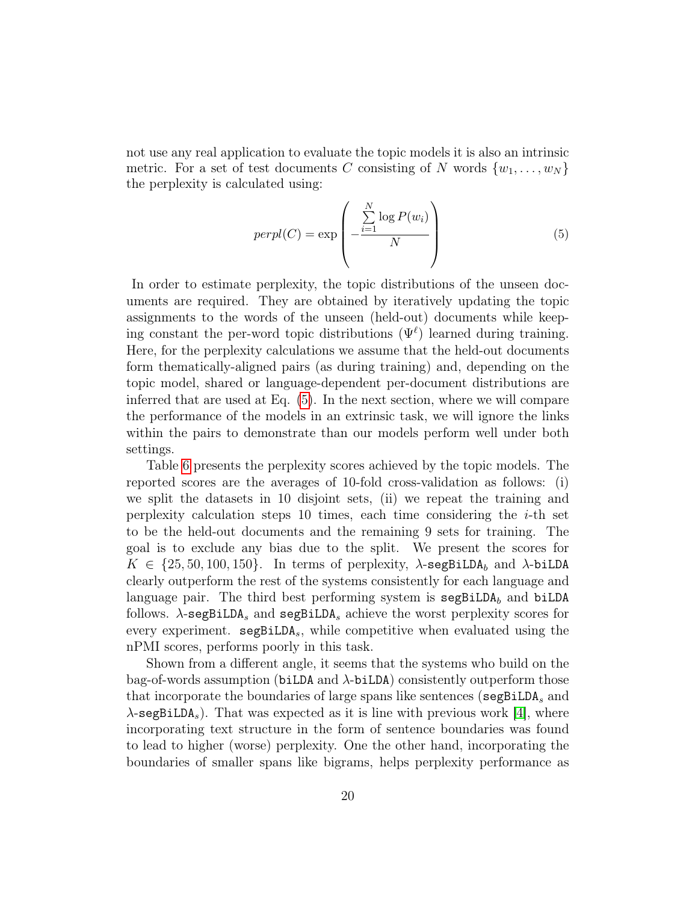not use any real application to evaluate the topic models it is also an intrinsic metric. For a set of test documents C consisting of N words  $\{w_1, \ldots, w_N\}$ the perplexity is calculated using:

<span id="page-19-0"></span>
$$
perpl(C) = \exp\left(-\frac{\sum_{i=1}^{N} \log P(w_i)}{N}\right)
$$
\n(5)

In order to estimate perplexity, the topic distributions of the unseen documents are required. They are obtained by iteratively updating the topic assignments to the words of the unseen (held-out) documents while keeping constant the per-word topic distributions  $(\Psi^{\ell})$  learned during training. Here, for the perplexity calculations we assume that the held-out documents form thematically-aligned pairs (as during training) and, depending on the topic model, shared or language-dependent per-document distributions are inferred that are used at Eq. [\(5\)](#page-19-0). In the next section, where we will compare the performance of the models in an extrinsic task, we will ignore the links within the pairs to demonstrate than our models perform well under both settings.

Table [6](#page-21-0) presents the perplexity scores achieved by the topic models. The reported scores are the averages of 10-fold cross-validation as follows: (i) we split the datasets in 10 disjoint sets, (ii) we repeat the training and perplexity calculation steps 10 times, each time considering the  $i$ -th set to be the held-out documents and the remaining 9 sets for training. The goal is to exclude any bias due to the split. We present the scores for  $K \in \{25, 50, 100, 150\}$ . In terms of perplexity,  $\lambda$ -segBiLDA<sub>b</sub> and  $\lambda$ -biLDA clearly outperform the rest of the systems consistently for each language and language pair. The third best performing system is  $\texttt{segBiLDA}_b$  and biLDA follows.  $\lambda$ -segBiLDA<sub>s</sub> and segBiLDA<sub>s</sub> achieve the worst perplexity scores for every experiment.  $\texttt{segBiLDA}_s$ , while competitive when evaluated using the nPMI scores, performs poorly in this task.

Shown from a different angle, it seems that the systems who build on the bag-of-words assumption (biLDA and  $\lambda$ -biLDA) consistently outperform those that incorporate the boundaries of large spans like sentences (segBiLDA<sub>s</sub> and  $\lambda$ -segBiLDA<sub>s</sub>). That was expected as it is line with previous work [\[4\]](#page-27-8), where incorporating text structure in the form of sentence boundaries was found to lead to higher (worse) perplexity. One the other hand, incorporating the boundaries of smaller spans like bigrams, helps perplexity performance as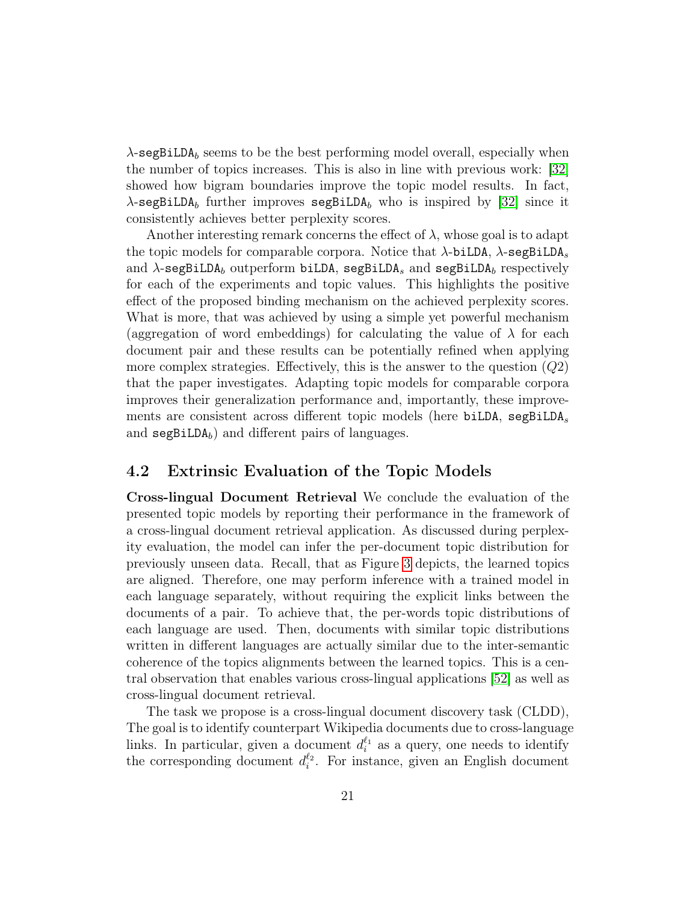$\lambda$ -segBiLDA<sub>b</sub> seems to be the best performing model overall, especially when the number of topics increases. This is also in line with previous work: [\[32\]](#page-29-8) showed how bigram boundaries improve the topic model results. In fact,  $\lambda$ -segBiLDA<sub>b</sub> further improves segBiLDA<sub>b</sub> who is inspired by [\[32\]](#page-29-8) since it consistently achieves better perplexity scores.

Another interesting remark concerns the effect of  $\lambda$ , whose goal is to adapt the topic models for comparable corpora. Notice that  $\lambda$ -biLDA,  $\lambda$ -segBiLDA<sub>s</sub> and  $\lambda$ -segBiLDA<sub>b</sub> outperform biLDA, segBiLDA<sub>s</sub> and segBiLDA<sub>b</sub> respectively for each of the experiments and topic values. This highlights the positive effect of the proposed binding mechanism on the achieved perplexity scores. What is more, that was achieved by using a simple yet powerful mechanism (aggregation of word embeddings) for calculating the value of  $\lambda$  for each document pair and these results can be potentially refined when applying more complex strategies. Effectively, this is the answer to the question  $(Q2)$ that the paper investigates. Adapting topic models for comparable corpora improves their generalization performance and, importantly, these improvements are consistent across different topic models (here biLDA, segBiLDA<sub>s</sub> and  $\texttt{segBiLDA}_b$  and different pairs of languages.

#### 4.2 Extrinsic Evaluation of the Topic Models

Cross-lingual Document Retrieval We conclude the evaluation of the presented topic models by reporting their performance in the framework of a cross-lingual document retrieval application. As discussed during perplexity evaluation, the model can infer the per-document topic distribution for previously unseen data. Recall, that as Figure [3](#page-15-1) depicts, the learned topics are aligned. Therefore, one may perform inference with a trained model in each language separately, without requiring the explicit links between the documents of a pair. To achieve that, the per-words topic distributions of each language are used. Then, documents with similar topic distributions written in different languages are actually similar due to the inter-semantic coherence of the topics alignments between the learned topics. This is a central observation that enables various cross-lingual applications [\[52\]](#page-31-0) as well as cross-lingual document retrieval.

The task we propose is a cross-lingual document discovery task (CLDD), The goal is to identify counterpart Wikipedia documents due to cross-language links. In particular, given a document  $d_i^{\ell_1}$  as a query, one needs to identify the corresponding document  $d_i^{\ell_2}$ . For instance, given an English document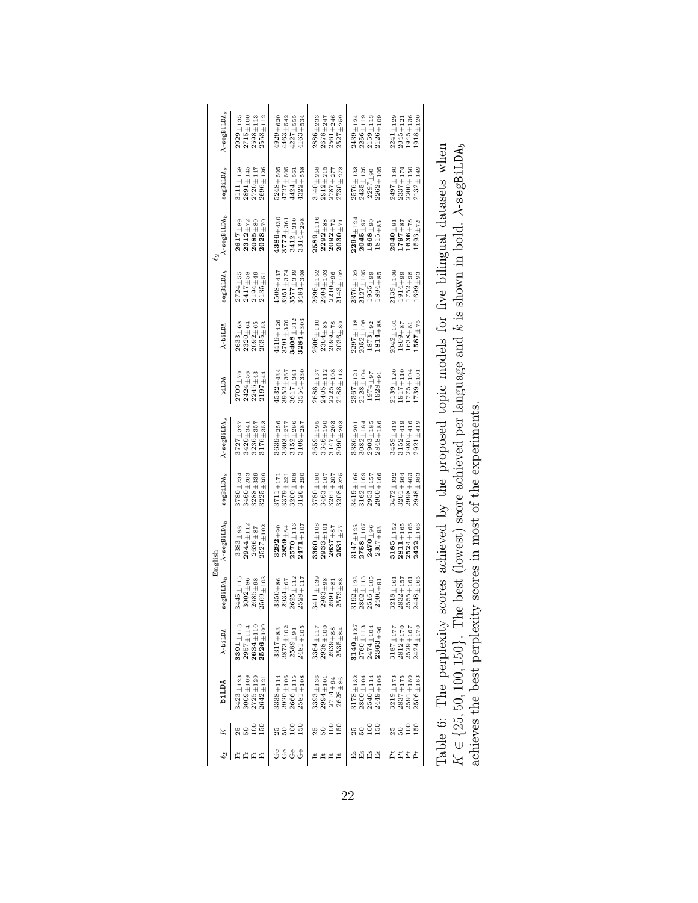<span id="page-21-0"></span>

| $2558 + 112$<br>$\begin{array}{c} 2929\pm 135 \\ 2715\pm 100 \end{array}$<br>$2598 \pm 113$                                                           | $4463{\scriptstyle \pm542}$<br>$4227\pm555$<br>$4163 + 534$<br>$4929 + 620$           | $2561_{\pm 246}$<br>$2886 + 233$<br>$2527 + 259$<br>$2678\pm 247$                                                              | $2126\pm109$<br>$2256\pm119$<br>$2159\pm113$<br>$2439\pm124$                              | $1945 + 136$<br>$1918\substack{+120 \\ -1120}$<br>$2241 + 129$<br>$2045\pm121$                                              |                                                                               |
|-------------------------------------------------------------------------------------------------------------------------------------------------------|---------------------------------------------------------------------------------------|--------------------------------------------------------------------------------------------------------------------------------|-------------------------------------------------------------------------------------------|-----------------------------------------------------------------------------------------------------------------------------|-------------------------------------------------------------------------------|
| $\begin{array}{c} 3111\pm 158 \\ 2891\pm 145 \end{array}$<br>$2720 + 147$<br>$2696 + 126$                                                             | $5248 + 505$<br>$4727 + 505$<br>$1322 + 558$<br>$1424 + 56$                           | $2912\!\pm\!215$<br>$3140 + 258$<br>$2730 + 273$<br>$2787 + 277$                                                               | $2262 + 105$<br>$2576 + 133$<br>$2435\pm126$<br>$2297\pm90$                               | $2132_{\pm 149}$<br>2497±180<br>$2337 + 174$<br>$2200 + 150$                                                                |                                                                               |
| $\begin{array}{c} \textbf{2617} \pm \textbf{89} \\ \textbf{2312} \pm \textbf{72} \\ \textbf{2085} \pm \textbf{80} \end{array}$<br>2028 <sub>±70</sub> | $3314 + 298$<br>$3772 + 361$<br>$3412 + 310$<br>$1386 + 430$                          | $2589 + 116$<br>$\mathbf{2292} \scriptstyle{\pm 88}$<br>$\mathbf{2092} \scriptstyle{\pm 72}$<br>$2030\pm7$                     | $2294_{\pm 124}$<br>$2045_{\pm 97}$<br>$1868_{\pm 90}$<br>$1815\pm\mathbf{85}$            | $\begin{array}{c} {\bf 2040} \pm {\bf 81}\\ {\bf 1797} \pm {\bf 87}\\ {\bf 1636} \pm {\bf 78}\\ \end{array}$<br>$1593 + 72$ |                                                                               |
| $\begin{array}{c} 2724\pm55\\ 2417\pm58\\ 2194\pm49\\ 2135\pm51 \end{array}$                                                                          | $4508 + 437$<br>$3484 + 308$<br>$3951\pm374$<br>$3577 + 335$                          | $2143\pm102$<br>$\begin{array}{c} 2696 \pm 152 \\ 2404 \pm 103 \end{array}$<br>$2210 + 96$                                     | $2376_{\pm 122}$<br>$2127 + 105$<br>$1955 + 99$<br>$1894\pm85$                            | $2139 + 108$<br>$\begin{array}{c} 1914\pm 99 \\ 1752\pm 98 \end{array}$<br>$1699 + 93$                                      |                                                                               |
| $\begin{array}{c} 2633\pm 68 \\ 2320\pm 64 \end{array}$<br>$2092 + 65$<br>$2035_{\pm 53}$                                                             | $3408_{\pm 312}$<br>$3284_{\pm 303}$<br>$3791\pm376$<br>$4419\pm426$                  | $2606\pm110$<br>$2304\pm85$<br>$2099\pm78$<br>$2036\pm80$                                                                      | $2297\pm118$<br>$2052\pm108$<br>$-814+88$<br>$1873 + 92$                                  | $-587 + 75$<br>$2042 + 10$<br>$1809 + 87$<br>$1638 + 81$                                                                    |                                                                               |
| $2245\pm43$<br>$2197 \pm 44$<br>$2424\pm56$<br>$7709 + 70$                                                                                            | $3617 + 341$<br>$3952 + 367$<br>$3554 + 330$<br>$.532_{\pm 434}$                      | $2405\pm112$<br>$\begin{array}{c} 2225\pm 108 \\ 2188\pm 113 \end{array}$<br>$2688 + 137$                                      | $2367_{\pm 121}$<br>$2128 + 104$<br>$1974 + 97$<br>$1928 + 9!$                            | $2139 + 120$<br>1917±110<br>1775±104<br>1739±101                                                                            |                                                                               |
| $3176 + 35$<br>$3727 + 327$<br>$3420 + 341$<br>$3236 + 357$                                                                                           | $3639 + 256$<br>$3303 + 277$<br>$3152 \pm 286$<br>$3109\pm28^\circ$                   | $3659 + 195$<br>$3147\pm20?$<br>$3090 + 203$<br>3346 <sub>±190</sub>                                                           | $2848 + 186$<br>$2903 + 185$<br>$3082 + 184$<br>$3386 + 20$                               | $3459 + 419$<br>$2921 + 419$<br>$3152_{\pm 419}$<br>$2980 + 416$                                                            |                                                                               |
| $3288 + 339$<br>$3225 + 309$<br>$3460 + 262$<br>$3780\pm234$                                                                                          | $3711\pm171$<br>$3200 + 308$<br>$3126 + 290$<br>$3379 + 221$                          | $3261 + 207$<br>$3208 + 225$<br>$3780 + 180$<br>$3463 + 167$                                                                   | $3419 + 166$<br>$2900\pm166$<br>$\begin{array}{c} 3162\pm 169 \\ 2953\pm 157 \end{array}$ | $\begin{array}{c} 3472 + 332 \\ 3201 + 364 \end{array}$<br>$2998 + 403$<br>$2948 + 383$                                     |                                                                               |
| $2944_{\pm 112}$<br>$2527\pm102$<br>$3383 + 98$<br>$2636 + 87$                                                                                        | $2570_{\pm 116}$<br>$2471_{\pm 107}$<br>$3292_{\pm 90}$<br>$\mathbf{2859} \!\pm\! 84$ | $3360 + 108$<br>$2933_{\pm 10}$<br>$\mathbf{2637}_{\pm 87}$<br>$\mathbf{2531} \scriptstyle{\pm \color{red} 77 \color{white} }$ | $2758 + 107$<br>$3147 + 125$<br>$2470_{\pm 96}$<br>$2367\pm93$                            | $3185 + 152$<br>$2524_{\pm 166}$<br>$2422 + 166$<br>$2811 + 165$                                                            | scores achieved by the proposed topic models for five bilingual datasets when |
| $3445 + 115$<br>$2569 + 103$<br>$2685\pm98$<br>$3002 + 86$                                                                                            | $2528 + 117$<br>$2625\pm112$<br>$3350 + 86$<br>$2934\pm67$                            | $3411\pm13$<br>$2983\pm98$<br>$2579\pm88$<br>$2691\pm81$                                                                       | $2802\pm115$<br>$3192\pm125$<br>$2516\pm10$ r<br>$2406 + 9!$                              | $2448 + 165$<br>$3218 + 161$<br>$2832 + 157$<br>$2555 + 161$                                                                |                                                                               |
| $2526_{\pm 109}$<br>$\mathbf{3391} \pm 113$<br>$2634 + 110$<br>$2957 \pm 114$                                                                         | $2873\pm102$<br>$2481\pm105$<br>$3317 + 83$<br>$2589 \pm 91$                          | $3364 + 117$<br>$2938\pm100$<br>$2639\pm88$<br>$2535{\pm}84$                                                                   | $3140_{\pm 127}$<br>$2760\pm113$<br>$\mathbf{2363} \pm 96$<br>$2474 + 104$                | $2424\pm170$<br>$2812 + 170$<br>$2529\pm167$<br>$3187 + 177$                                                                |                                                                               |
| $3009 + 109$<br>$3423\pm123$<br>$2725\!\pm\!120$<br>$2642\pm12$                                                                                       | $2666\pm115$<br>$2581\pm108$<br>$2920\pm106$<br>$3338 + 114$                          | $3393 + 136$<br>$2994 + 101$<br>$2714{\pm}94$<br>$2628\pm86$                                                                   | $3178\pm132$<br>$2540{\pm}114$<br>$2449 + 106$<br>$2800{\pm}104$                          | $2837\pm175$<br>$3219{\pm}173$<br>$2591{\pm}180$<br>$2506\pm\text{183}$                                                     | Table 6: The perplexity                                                       |
| $\frac{8}{1}$<br>$\frac{50}{2}$<br>25<br>50                                                                                                           | $\frac{8}{1}$<br>$\frac{50}{2}$<br>250                                                | $\frac{8}{10}$<br>150<br>25<br>50                                                                                              | 150<br>$\frac{8}{1}$<br>25                                                                | $^{100}$<br>150<br>25<br>50                                                                                                 |                                                                               |
| 広広<br>齿<br>Ĕ                                                                                                                                          | ್ರೆ<br>ರೆ<br>ර්<br>ಕೆ                                                                 | $\pm \pm \pm$<br>≝                                                                                                             | <b>ESES</b>                                                                               | Ä<br><b>E</b> E<br>È,                                                                                                       |                                                                               |
|                                                                                                                                                       |                                                                                       |                                                                                                                                |                                                                                           |                                                                                                                             |                                                                               |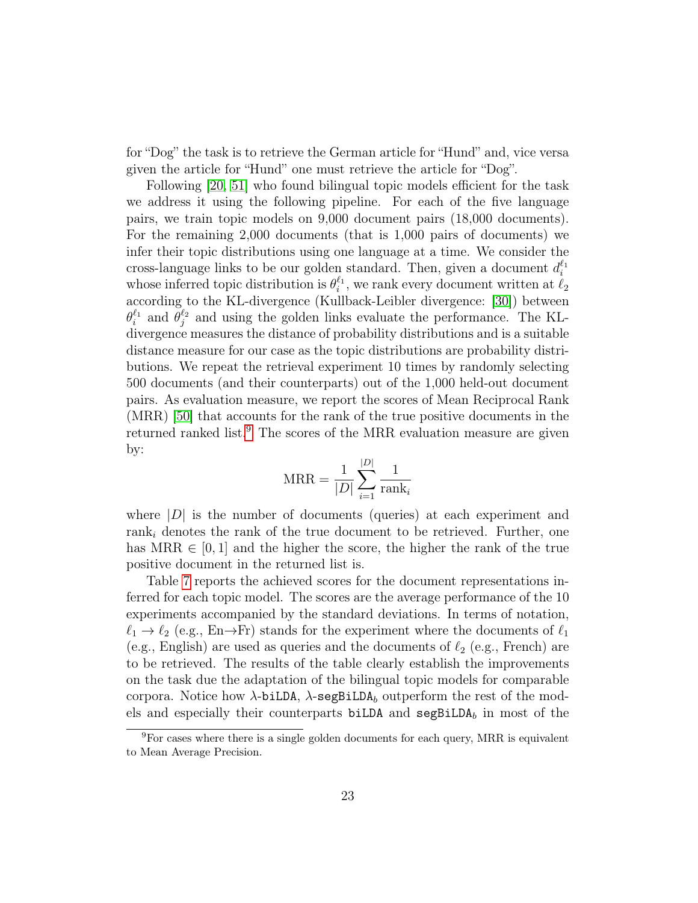for "Dog" the task is to retrieve the German article for "Hund" and, vice versa given the article for "Hund" one must retrieve the article for "Dog".

Following [\[20,](#page-28-8) [51\]](#page-31-9) who found bilingual topic models efficient for the task we address it using the following pipeline. For each of the five language pairs, we train topic models on 9,000 document pairs (18,000 documents). For the remaining 2,000 documents (that is 1,000 pairs of documents) we infer their topic distributions using one language at a time. We consider the cross-language links to be our golden standard. Then, given a document  $d_i^{\ell_1}$ whose inferred topic distribution is  $\theta_i^{\ell_1}$ , we rank every document written at  $\ell_2$ according to the KL-divergence (Kullback-Leibler divergence: [\[30\]](#page-29-11)) between  $\theta_i^{\ell_1}$  and  $\theta_j^{\ell_2}$  and using the golden links evaluate the performance. The KLdivergence measures the distance of probability distributions and is a suitable distance measure for our case as the topic distributions are probability distributions. We repeat the retrieval experiment 10 times by randomly selecting 500 documents (and their counterparts) out of the 1,000 held-out document pairs. As evaluation measure, we report the scores of Mean Reciprocal Rank (MRR) [\[50\]](#page-30-10) that accounts for the rank of the true positive documents in the returned ranked list.<sup>[9](#page-22-0)</sup> The scores of the MRR evaluation measure are given by:

$$
MRR = \frac{1}{|D|} \sum_{i=1}^{|D|} \frac{1}{\text{rank}_i}
$$

where  $|D|$  is the number of documents (queries) at each experiment and rank<sub>i</sub> denotes the rank of the true document to be retrieved. Further, one has MRR  $\in [0, 1]$  and the higher the score, the higher the rank of the true positive document in the returned list is.

Table [7](#page-24-0) reports the achieved scores for the document representations inferred for each topic model. The scores are the average performance of the 10 experiments accompanied by the standard deviations. In terms of notation,  $\ell_1 \rightarrow \ell_2$  (e.g., En→Fr) stands for the experiment where the documents of  $\ell_1$ (e.g., English) are used as queries and the documents of  $\ell_2$  (e.g., French) are to be retrieved. The results of the table clearly establish the improvements on the task due the adaptation of the bilingual topic models for comparable corpora. Notice how  $\lambda$ -biLDA,  $\lambda$ -segBiLDA<sub>b</sub> outperform the rest of the models and especially their counterparts biLDA and  $\texttt{segBiLDA}_b$  in most of the

<span id="page-22-0"></span><sup>9</sup>For cases where there is a single golden documents for each query, MRR is equivalent to Mean Average Precision.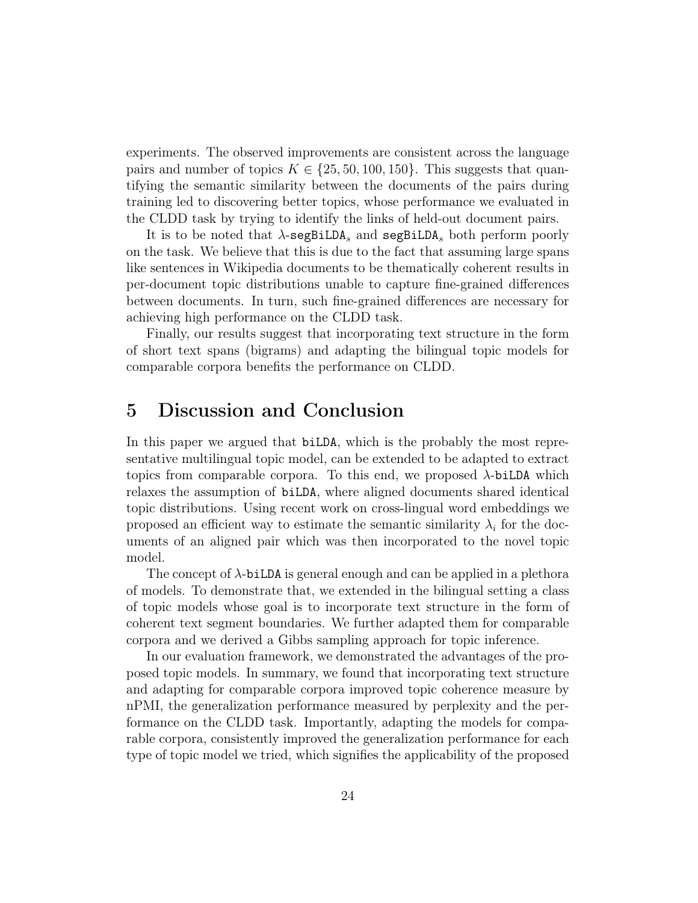experiments. The observed improvements are consistent across the language pairs and number of topics  $K \in \{25, 50, 100, 150\}$ . This suggests that quantifying the semantic similarity between the documents of the pairs during training led to discovering better topics, whose performance we evaluated in the CLDD task by trying to identify the links of held-out document pairs.

It is to be noted that  $\lambda$ -segBiLDA<sub>s</sub> and segBiLDA<sub>s</sub> both perform poorly on the task. We believe that this is due to the fact that assuming large spans like sentences in Wikipedia documents to be thematically coherent results in per-document topic distributions unable to capture fine-grained differences between documents. In turn, such fine-grained differences are necessary for achieving high performance on the CLDD task.

Finally, our results suggest that incorporating text structure in the form of short text spans (bigrams) and adapting the bilingual topic models for comparable corpora benefits the performance on CLDD.

## 5 Discussion and Conclusion

In this paper we argued that biLDA, which is the probably the most representative multilingual topic model, can be extended to be adapted to extract topics from comparable corpora. To this end, we proposed  $\lambda$ -biLDA which relaxes the assumption of biLDA, where aligned documents shared identical topic distributions. Using recent work on cross-lingual word embeddings we proposed an efficient way to estimate the semantic similarity  $\lambda_i$  for the documents of an aligned pair which was then incorporated to the novel topic model.

The concept of  $\lambda$ -biLDA is general enough and can be applied in a plethora of models. To demonstrate that, we extended in the bilingual setting a class of topic models whose goal is to incorporate text structure in the form of coherent text segment boundaries. We further adapted them for comparable corpora and we derived a Gibbs sampling approach for topic inference.

In our evaluation framework, we demonstrated the advantages of the proposed topic models. In summary, we found that incorporating text structure and adapting for comparable corpora improved topic coherence measure by nPMI, the generalization performance measured by perplexity and the performance on the CLDD task. Importantly, adapting the models for comparable corpora, consistently improved the generalization performance for each type of topic model we tried, which signifies the applicability of the proposed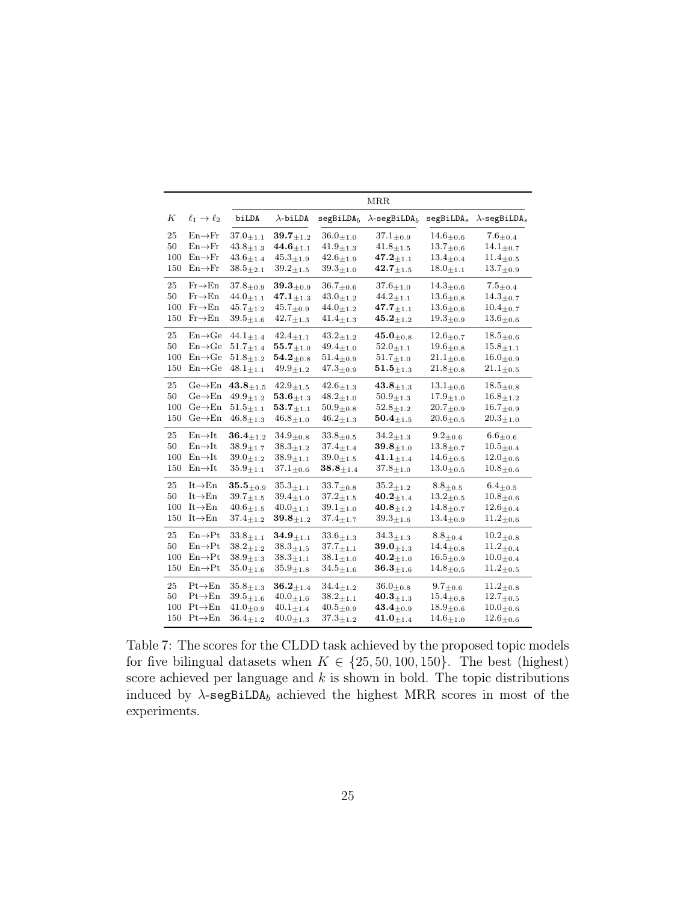|     |                             |                             |                             |                             | <b>MRR</b>                       |                            |                                  |
|-----|-----------------------------|-----------------------------|-----------------------------|-----------------------------|----------------------------------|----------------------------|----------------------------------|
| К   | $\ell_1 \rightarrow \ell_2$ | biLDA                       | $\lambda$ -biLDA            | segBiLDA <sub>b</sub>       | $\lambda$ -segBiLDA <sub>b</sub> | segBiLDA <sub>s</sub>      | $\lambda$ -segBiLDA <sub>s</sub> |
| 25  | $En \rightarrow Fr$         | $37.0_{\pm 1.1}$            | $39.7_{\pm 1.2}$            | $36.0_{\pm 1.0}$            | $37.1_{\pm 0.9}$                 | $14.6{\pm}0.6$             | $7.6 \scriptstyle \pm 0.4$       |
| 50  | $En \rightarrow Fr$         | $43.8{\pm}1.3$              | $44.6_{\pm 1.1}$            | $41.9_{\pm 1.3}$            | $41.8_{\pm 1.5}$                 | $13.7_{\pm 0.6}$           | $^{14.1}$ ±0.7                   |
| 100 | $En \rightarrow Fr$         | $43.6{\scriptstyle \pm1.4}$ | $45.3{\scriptstyle \pm1.9}$ | $42.6_{\pm1.9}$             | $\mathbf{47.2}_{\pm 1.1}$        | $13.4_{\pm 0.4}$           | $11.4_{\pm0.5}$                  |
| 150 | $En \rightarrow Fr$         | $38.5{\pm}2.1$              | $39.2{\scriptstyle \pm1.5}$ | $39.3{\pm}1.0$              | $42.7_{\pm 1.5}$                 | $18.0_{\pm 1.1}$           | $13.7_{\pm0.9}$                  |
| 25  | $Fr\rightarrow En$          | $37.8 + 0.9$                | $39.3{\pm}0.9$              | $36.7{\pm}0.6$              | $37.6{\pm}1.0$                   | $14.3{\pm}0.6$             | $7.5{\pm}0.4$                    |
| 50  | $Fr\rightarrow En$          | $44.0_{\pm 1.1}$            | $\mathbf{47.1}_{\pm1.3}$    | $43.0_{\pm 1.2}$            | $44.2_{\pm 1.1}$                 | $13.6{\pm}0.8$             | $14.3{\scriptstyle \pm 0.7}$     |
| 100 | $Fr\rightarrow En$          | $45.7_{\pm 1.2}$            | $45.7{\pm}0.9$              | $44.0{\pm}1.2$              | $47.7_{\pm 1.1}$                 | $13.6_{\pm 0.6}$           | $10.4{\pm}0.7$                   |
| 150 | $Fr\rightarrow En$          | $39.5_{\pm 1.6}$            | $42.7{\pm}1.3$              | $41.4_{\pm 1.3}$            | $\bf{45.2}_{\pm 1.2}$            | $19.3_{\pm 0.9}$           | $13.6{\scriptstyle \pm0.6}$      |
| 25  | $En \rightarrow Ge$         | $44.1_{\pm 1.4}$            | $42.4_{\pm 1.1}$            | $43.2_{\pm 1.2}$            | $45.0_{\pm 0.8}$                 | $12.6_{\pm 0.7}$           | $18.5{\pm}0.6$                   |
| 50  | $En \rightarrow Ge$         | $51.7{\scriptstyle \pm1.4}$ | $55.7_{+1.0}$               | $49.4{\pm}1.0$              | $52.0 + 1.1$                     | $19.6_{\pm 0.8}$           | $15.8_{\pm1.1}$                  |
| 100 | $En \rightarrow Ge$         | $51.8_{\pm 1.2}$            | $54.2_{\pm 0.8}$            | $51.4_{\pm 0.9}$            | $51.7_{\pm 1.0}$                 | $21.1_{\pm0.6}$            | $16.0_{\pm 0.9}$                 |
| 150 | $En \rightarrow Ge$         | $48.1_{\pm 1.1}$            | $49.9_{\pm 1.2}$            | $47.3{\pm}0.9$              | $\mathbf{51.5}_{\pm 1.3}$        | $21.8_{\pm 0.8}$           | $21.1_{\pm 0.5}$                 |
| 25  | $Ge \rightarrow En$         | $43.8_{\pm 1.5}$            | $42.9_{\pm 1.5}$            | $42.6_{\pm 1.3}$            | $\textbf{43.8}_{\pm 1.3}$        | $13.1_{\pm 0.6}$           | $18.5{\pm}0.8$                   |
| 50  | $Ge \rightarrow En$         | $49.9{\pm}1.2$              | $\mathbf{53.6}_{\pm 1.3}$   | $48.2{\pm}1.0$              | $50.9_{\pm 1.3}$                 | $17.9_{\pm 1.0}$           | $16.8_{\pm 1.2}$                 |
| 100 | $Ge \rightarrow En$         | $51.5{\scriptstyle \pm1.1}$ | $\bm{53.7}_{\pm 1.1}$       | $50.9_{\pm 0.8}$            | $52.8_{\pm 1.2}$                 | $20.7_{\pm 0.9}$           | $16.7{\scriptstyle \pm 0.9}$     |
| 150 | $Ge \rightarrow En$         | $46.8_{\pm 1.3}$            | $46.8_{\pm 1.0}$            | $46.2_{\pm 1.3}$            | $\mathbf{50.4}_{\pm 1.5}$        | $20.6{\pm}0.5$             | $20.3_{\pm 1.0}$                 |
| 25  | $En \rightarrow It$         | $\mathbf{36.4}_{\pm1.2}$    | $34.9_{\pm 0.8}$            | $33.8_{\pm 0.5}$            | $34.2_{\pm 1.3}$                 | $9.2_{\pm 0.6}$            | $6.6{\pm}0.6$                    |
| 50  | $En \rightarrow It$         | $38.9 + 1.7$                | $38.3{\pm}1.2$              | $37.4{\scriptstyle\pm1.4}$  | $39.8{\pm}1.0$                   | $13.8{\pm}0.7$             | $10.5 \pm 0.4$                   |
| 100 | $En \rightarrow It$         | $39.0_{\pm 1.2}$            | $38.9{\pm}1.1$              | $39.0{\pm}1.5$              | $41.1_{\pm 1.4}$                 | $14.6_{\pm 0.5}$           | $12.0{\pm}0.6$                   |
| 150 | $En \rightarrow It$         | $35.9_{\pm 1.1}$            | $37.1_{\pm 0.6}$            | $38.8_{\pm 1.4}$            | $37.8_{\pm 1.0}$                 | $13.0_{\pm 0.5}$           | $10.8{\pm}0.6$                   |
| 25  | $It \rightarrow En$         | $\mathbf{35.5}_{\pm0.9}$    | $35.3{\scriptstyle \pm1.1}$ | $33.7_{\pm 0.8}$            | $35.2_{\pm 1.2}$                 | $8.8{\scriptstyle \pm0.5}$ | $6.4_{\pm 0.5}$                  |
| 50  | $It \rightarrow En$         | $39.7{\scriptstyle \pm1.5}$ | $39.4_{\pm1.0}$             | $37.2_{\pm1.5}$             | $40.2_{\pm 1.4}$                 | $13.2_{\pm 0.5}$           | $10.8 \scriptstyle{\pm 0.6}$     |
| 100 | $It \rightarrow En$         | $40.6{\scriptstyle \pm1.5}$ | $40.0_{\pm 1.1}$            | $39.1_{\pm 1.0}$            | $40.8_{+1.2}$                    | $14.8{\pm}0.7$             | $12.6{\pm}0.4$                   |
| 150 | $It \rightarrow En$         | $37.4_{\pm 1.2}$            | $39.8_{\pm 1.2}$            | $37.4_{\pm 1.7}$            | $39.3_{\pm1.6}$                  | $13.4_{\pm 0.9}$           | $11.2_{\pm 0.6}$                 |
| 25  | $En \rightarrow Pt$         | $33.8_{\pm 1.1}$            | $\mathbf{34.9}_{\pm1.1}$    | $33.6{\scriptstyle \pm1.3}$ | $34.3{\pm}1.3$                   | $8.8_{\pm 0.4}$            | $10.2_{\pm 0.8}$                 |
| 50  | $En \rightarrow Pt$         | $38.2_{\pm 1.2}$            | $38.3_{\pm1.5}$             | $37.7_{\pm 1.1}$            | $39.0_{\pm 1.3}$                 | $14.4_{\pm 0.8}$           | $11.2_{\pm0.4}$                  |
| 100 | $En \rightarrow Pt$         | $38.9{\pm}1.3$              | $38.3{\pm}1.1$              | $38.1_{\pm 1.0}$            | $40.2_{\pm 1.0}$                 | $16.5_{\pm 0.9}$           | $10.0_{\pm 0.4}$                 |
| 150 | $En \rightarrow Pt$         | $35.0_{\pm 1.6}$            | $35.9_{\pm 1.8}$            | $34.5_{\pm 1.6}$            | $\textbf{36.3}_{\pm 1.6}$        | $14.8 + 0.5$               | $11.2_{\pm 0.5}$                 |
| 25  | $Pt\rightarrow En$          | $35.8{\scriptstyle \pm1.3}$ | $\textbf{36.2}_{\pm 1.4}$   | $34.4_{\pm 1.2}$            | $36.0_{\pm 0.8}$                 | $9.7_{\pm 0.6}$            | $11.2_{\pm 0.8}$                 |
| 50  | $Pt \rightarrow En$         | $39.5{\scriptstyle \pm1.6}$ | $40.0{\pm}1.6$              | $38.2_{\pm 1.1}$            | $\mathbf{40.3}_{\pm1.3}$         | $15.4_{\pm 0.8}$           | $12.7{\pm}0.5$                   |
| 100 | $Pt \rightarrow En$         | $41.0{\pm}0.9$              | $40.1_{\pm 1.4}$            | $40.5 \pm 0.9$              | $43.4_{\pm 0.9}$                 | $18.9 + 0.6$               | $10.0 \pm 0.6$                   |
| 150 | $Pt \rightarrow En$         | $36.4_{+1.2}$               | $40.0_{\pm 1.3}$            | $37.3_{\pm 1.2}$            | $\mathbf{41.0}_{\pm 1.4}$        | $14.6_{\pm 1.0}$           | $12.6{\pm}0.6$                   |

<span id="page-24-0"></span>Table 7: The scores for the CLDD task achieved by the proposed topic models for five bilingual datasets when  $K \in \{25, 50, 100, 150\}$ . The best (highest) score achieved per language and  $k$  is shown in bold. The topic distributions induced by  $\lambda$ -segBiLDA<sub>b</sub> achieved the highest MRR scores in most of the experiments.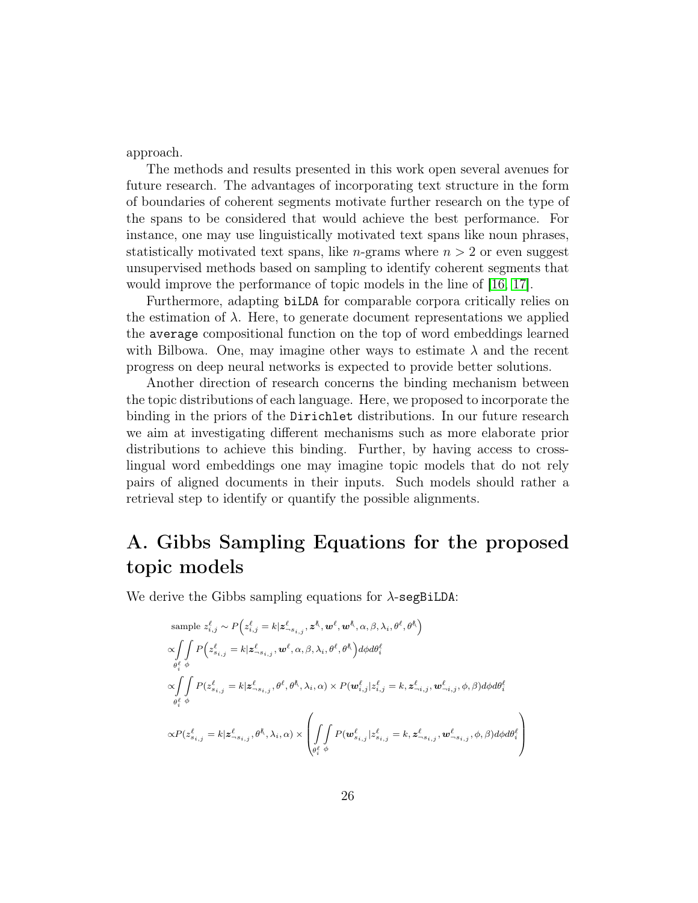approach.

The methods and results presented in this work open several avenues for future research. The advantages of incorporating text structure in the form of boundaries of coherent segments motivate further research on the type of the spans to be considered that would achieve the best performance. For instance, one may use linguistically motivated text spans like noun phrases, statistically motivated text spans, like *n*-grams where  $n > 2$  or even suggest unsupervised methods based on sampling to identify coherent segments that would improve the performance of topic models in the line of [\[16,](#page-28-9) [17\]](#page-28-10).

Furthermore, adapting biLDA for comparable corpora critically relies on the estimation of  $\lambda$ . Here, to generate document representations we applied the average compositional function on the top of word embeddings learned with Bilbowa. One, may imagine other ways to estimate  $\lambda$  and the recent progress on deep neural networks is expected to provide better solutions.

Another direction of research concerns the binding mechanism between the topic distributions of each language. Here, we proposed to incorporate the binding in the priors of the Dirichlet distributions. In our future research we aim at investigating different mechanisms such as more elaborate prior distributions to achieve this binding. Further, by having access to crosslingual word embeddings one may imagine topic models that do not rely pairs of aligned documents in their inputs. Such models should rather a retrieval step to identify or quantify the possible alignments.

# A. Gibbs Sampling Equations for the proposed topic models

We derive the Gibbs sampling equations for  $\lambda$ -segBiLDA:

$$
\begin{split} & \text{sample } z_{i,j}^{\ell} \sim P\Big(z_{i,j}^{\ell} = k | \mathbf{z}_{-\mathbf{s}_{i,j}}^{\ell}, \mathbf{z}^{\mathbf{\mathbf{\mathring{E}}}}, \mathbf{w}^{\ell}, \mathbf{w}^{\mathbf{\mathring{E}}}, \alpha, \beta, \lambda_i, \theta^{\ell}, \theta^{\mathbf{\mathring{E}}}\Big) \\ & \propto \!\!\!\!\!\!\!\!\!\!\!\int \limits_{\theta_i^{\ell} \phi} P\Big(z_{s_{i,j}}^{\ell} = k | \mathbf{z}_{-\mathbf{s}_{i,j}}^{\ell}, \mathbf{w}^{\ell}, \alpha, \beta, \lambda_i, \theta^{\ell}, \theta^{\mathbf{\mathring{E}}}\Big)d\phi d\theta_i^{\ell} \\ & \propto \!\!\!\!\!\!\!\!\!\!\!\!\!\!\!\int \limits_{\theta_i^{\ell} \phi} P(z_{s_{i,j}}^{\ell} = k | \mathbf{z}_{-s_{i,j}}^{\ell}, \theta^{\ell}, \theta^{\mathbf{\mathring{E}}}, \lambda_i, \alpha) \times P(\mathbf{w}_{i,j}^{\ell} | z_{i,j}^{\ell} = k, \mathbf{z}_{-i,j}^{\ell}, \mathbf{w}_{-i,j}^{\ell}, \phi, \beta) d\phi d\theta_i^{\ell} \\ & \propto \!\!P(z_{s_{i,j}}^{\ell} = k | \mathbf{z}_{-s_{i,j}}^{\ell}, \theta^{\mathbf{\mathring{E}}}, \lambda_i, \alpha) \times \left(\!\!\!\!\!\!\!\!\!\!\!\int \limits_{\theta_i^{\ell} \phi} P(\mathbf{w}_{s_{i,j}}^{\ell} | z_{s_{i,j}}^{\ell} = k, \mathbf{z}_{-s_{i,j}}^{\ell}, \mathbf{w}_{-s_{i,j}}^{\ell}, \phi, \beta) d\phi d\theta_i^{\ell}\right) \end{split}
$$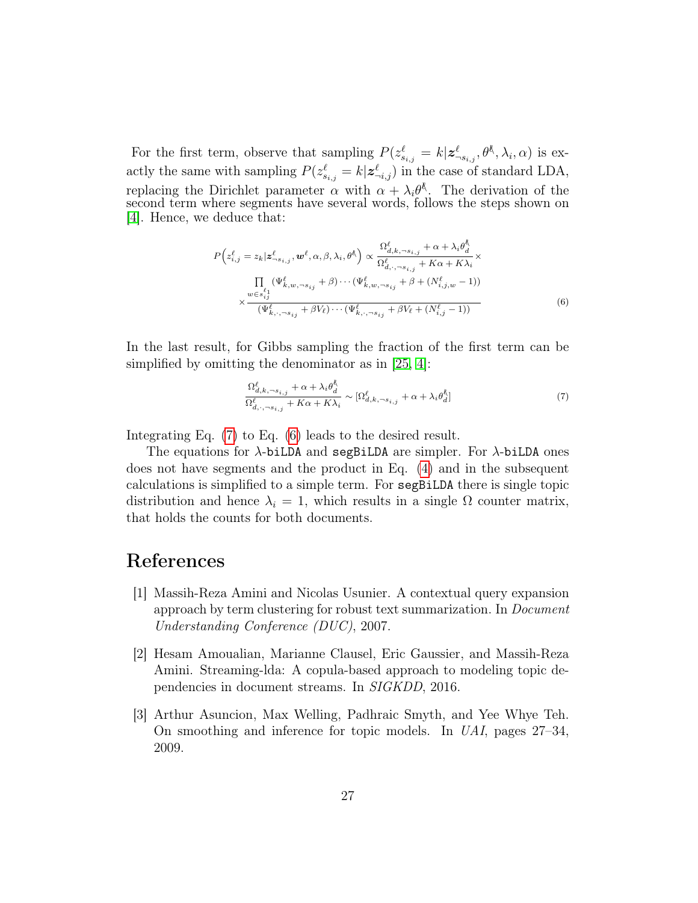For the first term, observe that sampling  $P(z_{s_{i,j}}^{\ell} = k | \mathbf{z}_{s_{i,j}}^{\ell}, \theta_{\gamma}^{\ell}, \lambda_i, \alpha)$  is exactly the same with sampling  $P(z_{s_{i,j}}^{\ell} = k | \mathbf{z}_{\neg i,j}^{\ell})$  in the case of standard LDA, replacing the Dirichlet parameter  $\alpha$  with  $\alpha + \lambda_i \theta^k$ . The derivation of the second term where segments have several words, follows the steps shown on [\[4\]](#page-27-8). Hence, we deduce that:

$$
P\left(z_{i,j}^{\ell} = z_k | \mathbf{z}_{-s_{i,j}}^{\ell}, \mathbf{w}^{\ell}, \alpha, \beta, \lambda_i, \theta^{\ell}\right) \propto \frac{\Omega_{d,k,\neg s_{i,j}}^{\ell} + \alpha + \lambda_i \theta_d^{\ell}}{\Omega_{d,\neg s_{i,j}}^{\ell} + K\alpha + K\lambda_i} \times \frac{\prod_{w \in s_{i,j}^{\ell}} (\Psi_{k,w,\neg s_{i,j}}^{\ell} + \beta) \cdots (\Psi_{k,w,\neg s_{i,j}}^{\ell} + \beta + (N_{i,j,w}^{\ell} - 1))}{\chi \frac{\omega \in s_{i,j}^{\ell}}{(\Psi_{k,\neg s_{i,j}}^{\ell} + \beta V_{\ell}) \cdots (\Psi_{k,\neg s_{i,j}}^{\ell} + \beta V_{\ell} + (N_{i,j}^{\ell} - 1))}
$$
\n(6)

In the last result, for Gibbs sampling the fraction of the first term can be simplified by omitting the denominator as in [\[25,](#page-28-11) [4\]](#page-27-8):

<span id="page-26-4"></span><span id="page-26-3"></span>
$$
\frac{\Omega_{d,k,\neg s_{i,j}}^{\ell} + \alpha + \lambda_i \theta_d^k}{\Omega_{d,\neg s_{i,j}}^{\ell} + K\alpha + K\lambda_i} \sim [\Omega_{d,k,\neg s_{i,j}}^{\ell} + \alpha + \lambda_i \theta_d^k]
$$
\n(7)

Integrating Eq. [\(7\)](#page-26-3) to Eq. [\(6\)](#page-26-4) leads to the desired result.

The equations for  $\lambda$ -biLDA and segBiLDA are simpler. For  $\lambda$ -biLDA ones does not have segments and the product in Eq. [\(4\)](#page-13-2) and in the subsequent calculations is simplified to a simple term. For segBiLDA there is single topic distribution and hence  $\lambda_i = 1$ , which results in a single  $\Omega$  counter matrix, that holds the counts for both documents.

## References

- <span id="page-26-0"></span>[1] Massih-Reza Amini and Nicolas Usunier. A contextual query expansion approach by term clustering for robust text summarization. In Document Understanding Conference (DUC), 2007.
- <span id="page-26-2"></span>[2] Hesam Amoualian, Marianne Clausel, Eric Gaussier, and Massih-Reza Amini. Streaming-lda: A copula-based approach to modeling topic dependencies in document streams. In SIGKDD, 2016.
- <span id="page-26-1"></span>[3] Arthur Asuncion, Max Welling, Padhraic Smyth, and Yee Whye Teh. On smoothing and inference for topic models. In UAI, pages 27–34, 2009.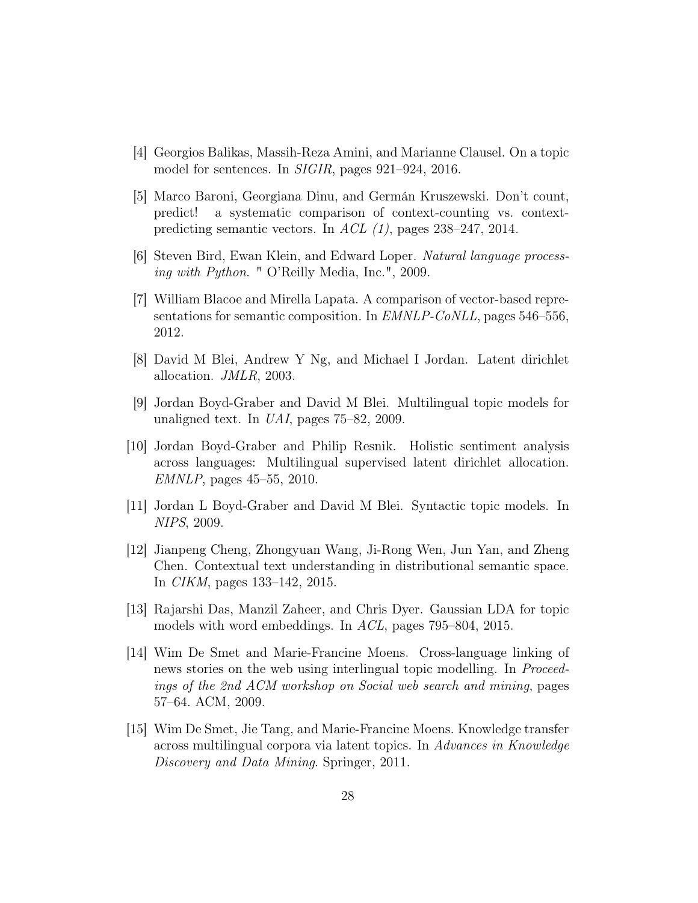- <span id="page-27-8"></span>[4] Georgios Balikas, Massih-Reza Amini, and Marianne Clausel. On a topic model for sentences. In SIGIR, pages 921–924, 2016.
- <span id="page-27-5"></span>[5] Marco Baroni, Georgiana Dinu, and Germán Kruszewski. Don't count, predict! a systematic comparison of context-counting vs. contextpredicting semantic vectors. In ACL (1), pages 238–247, 2014.
- <span id="page-27-11"></span>[6] Steven Bird, Ewan Klein, and Edward Loper. Natural language processing with Python. " O'Reilly Media, Inc.", 2009.
- <span id="page-27-10"></span>[7] William Blacoe and Mirella Lapata. A comparison of vector-based representations for semantic composition. In EMNLP-CoNLL, pages 546–556, 2012.
- <span id="page-27-0"></span>[8] David M Blei, Andrew Y Ng, and Michael I Jordan. Latent dirichlet allocation. JMLR, 2003.
- <span id="page-27-2"></span>[9] Jordan Boyd-Graber and David M Blei. Multilingual topic models for unaligned text. In UAI, pages 75–82, 2009.
- <span id="page-27-3"></span>[10] Jordan Boyd-Graber and Philip Resnik. Holistic sentiment analysis across languages: Multilingual supervised latent dirichlet allocation. EMNLP, pages 45–55, 2010.
- <span id="page-27-9"></span>[11] Jordan L Boyd-Graber and David M Blei. Syntactic topic models. In NIPS, 2009.
- <span id="page-27-6"></span>[12] Jianpeng Cheng, Zhongyuan Wang, Ji-Rong Wen, Jun Yan, and Zheng Chen. Contextual text understanding in distributional semantic space. In CIKM, pages 133–142, 2015.
- <span id="page-27-7"></span>[13] Rajarshi Das, Manzil Zaheer, and Chris Dyer. Gaussian LDA for topic models with word embeddings. In ACL, pages 795–804, 2015.
- <span id="page-27-4"></span>[14] Wim De Smet and Marie-Francine Moens. Cross-language linking of news stories on the web using interlingual topic modelling. In *Proceed*ings of the 2nd ACM workshop on Social web search and mining, pages 57–64. ACM, 2009.
- <span id="page-27-1"></span>[15] Wim De Smet, Jie Tang, and Marie-Francine Moens. Knowledge transfer across multilingual corpora via latent topics. In Advances in Knowledge Discovery and Data Mining. Springer, 2011.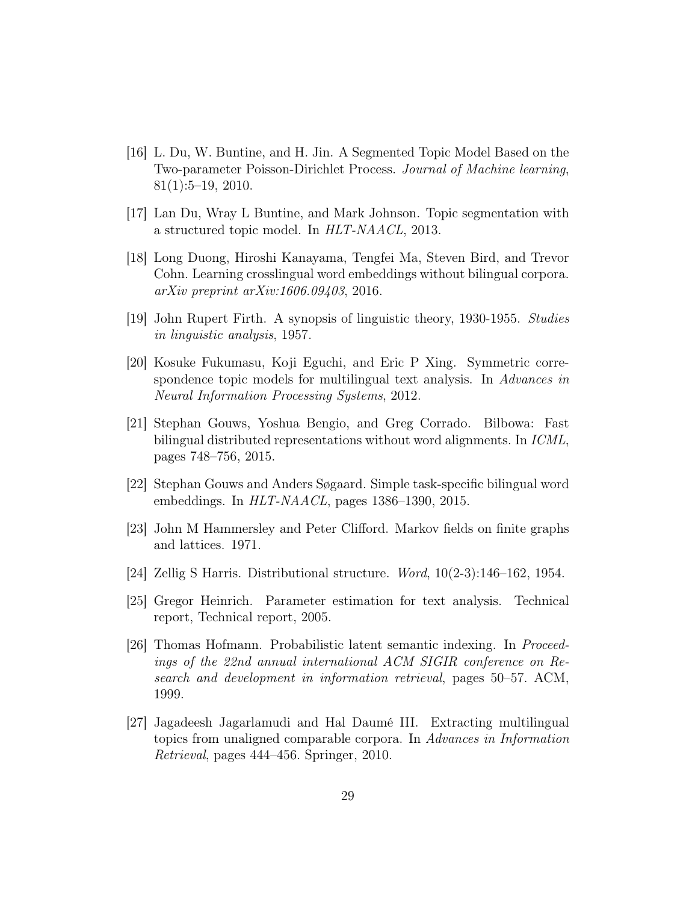- <span id="page-28-9"></span>[16] L. Du, W. Buntine, and H. Jin. A Segmented Topic Model Based on the Two-parameter Poisson-Dirichlet Process. Journal of Machine learning, 81(1):5–19, 2010.
- <span id="page-28-10"></span>[17] Lan Du, Wray L Buntine, and Mark Johnson. Topic segmentation with a structured topic model. In HLT-NAACL, 2013.
- <span id="page-28-5"></span>[18] Long Duong, Hiroshi Kanayama, Tengfei Ma, Steven Bird, and Trevor Cohn. Learning crosslingual word embeddings without bilingual corpora. arXiv preprint arXiv:1606.09403, 2016.
- <span id="page-28-2"></span>[19] John Rupert Firth. A synopsis of linguistic theory, 1930-1955. Studies in linguistic analysis, 1957.
- <span id="page-28-8"></span>[20] Kosuke Fukumasu, Koji Eguchi, and Eric P Xing. Symmetric correspondence topic models for multilingual text analysis. In Advances in Neural Information Processing Systems, 2012.
- <span id="page-28-6"></span>[21] Stephan Gouws, Yoshua Bengio, and Greg Corrado. Bilbowa: Fast bilingual distributed representations without word alignments. In ICML, pages 748–756, 2015.
- <span id="page-28-4"></span>[22] Stephan Gouws and Anders Søgaard. Simple task-specific bilingual word embeddings. In HLT-NAACL, pages 1386–1390, 2015.
- <span id="page-28-7"></span>[23] John M Hammersley and Peter Clifford. Markov fields on finite graphs and lattices. 1971.
- <span id="page-28-0"></span>[24] Zellig S Harris. Distributional structure. Word, 10(2-3):146–162, 1954.
- <span id="page-28-11"></span>[25] Gregor Heinrich. Parameter estimation for text analysis. Technical report, Technical report, 2005.
- <span id="page-28-3"></span>[26] Thomas Hofmann. Probabilistic latent semantic indexing. In Proceedings of the 22nd annual international ACM SIGIR conference on Research and development in information retrieval, pages 50–57. ACM, 1999.
- <span id="page-28-1"></span>[27] Jagadeesh Jagarlamudi and Hal Daumé III. Extracting multilingual topics from unaligned comparable corpora. In Advances in Information Retrieval, pages 444–456. Springer, 2010.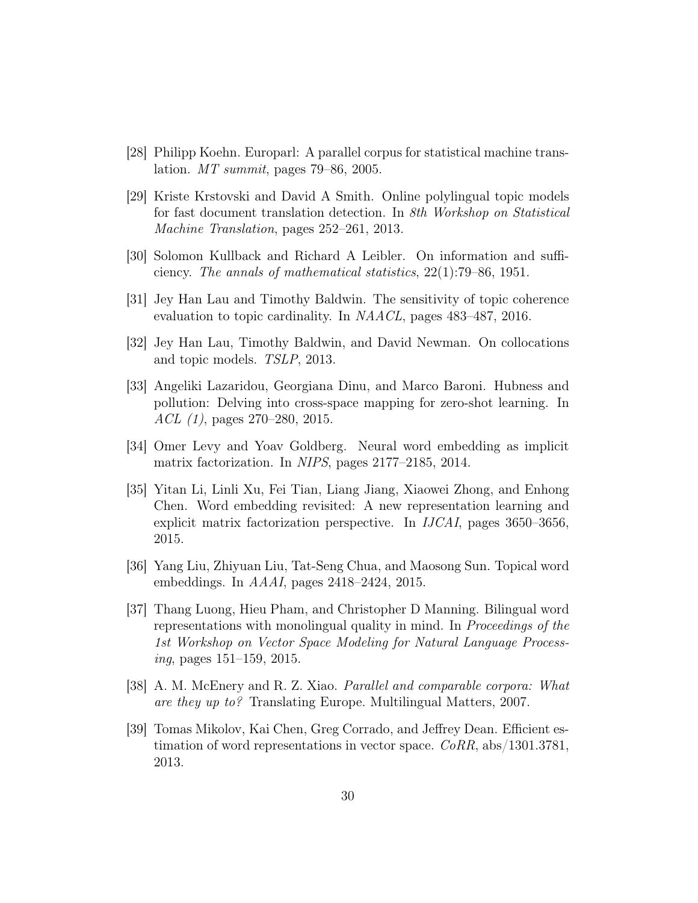- <span id="page-29-9"></span>[28] Philipp Koehn. Europarl: A parallel corpus for statistical machine translation. MT summit, pages 79–86, 2005.
- <span id="page-29-2"></span>[29] Kriste Krstovski and David A Smith. Online polylingual topic models for fast document translation detection. In 8th Workshop on Statistical Machine Translation, pages 252–261, 2013.
- <span id="page-29-11"></span>[30] Solomon Kullback and Richard A Leibler. On information and sufficiency. The annals of mathematical statistics, 22(1):79–86, 1951.
- <span id="page-29-10"></span>[31] Jey Han Lau and Timothy Baldwin. The sensitivity of topic coherence evaluation to topic cardinality. In NAACL, pages 483–487, 2016.
- <span id="page-29-8"></span>[32] Jey Han Lau, Timothy Baldwin, and David Newman. On collocations and topic models. TSLP, 2013.
- <span id="page-29-5"></span>[33] Angeliki Lazaridou, Georgiana Dinu, and Marco Baroni. Hubness and pollution: Delving into cross-space mapping for zero-shot learning. In ACL (1), pages 270–280, 2015.
- <span id="page-29-3"></span>[34] Omer Levy and Yoav Goldberg. Neural word embedding as implicit matrix factorization. In NIPS, pages 2177–2185, 2014.
- <span id="page-29-4"></span>[35] Yitan Li, Linli Xu, Fei Tian, Liang Jiang, Xiaowei Zhong, and Enhong Chen. Word embedding revisited: A new representation learning and explicit matrix factorization perspective. In IJCAI, pages 3650–3656, 2015.
- <span id="page-29-7"></span>[36] Yang Liu, Zhiyuan Liu, Tat-Seng Chua, and Maosong Sun. Topical word embeddings. In AAAI, pages 2418–2424, 2015.
- <span id="page-29-6"></span>[37] Thang Luong, Hieu Pham, and Christopher D Manning. Bilingual word representations with monolingual quality in mind. In Proceedings of the 1st Workshop on Vector Space Modeling for Natural Language Process $inq$ , pages 151–159, 2015.
- <span id="page-29-0"></span>[38] A. M. McEnery and R. Z. Xiao. Parallel and comparable corpora: What are they up to? Translating Europe. Multilingual Matters, 2007.
- <span id="page-29-1"></span>[39] Tomas Mikolov, Kai Chen, Greg Corrado, and Jeffrey Dean. Efficient estimation of word representations in vector space.  $CoRR$ , abs/1301.3781, 2013.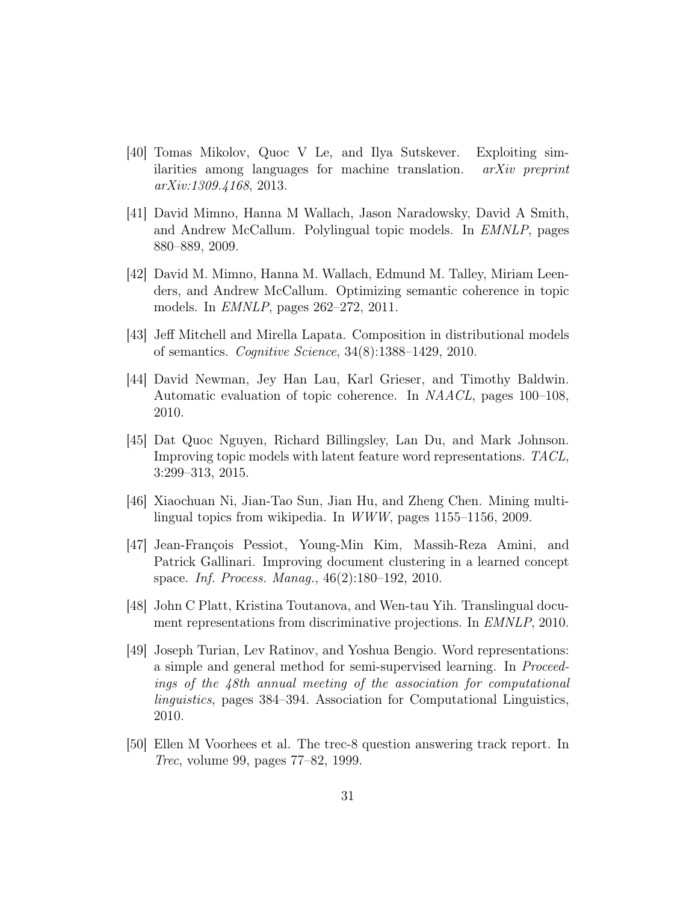- <span id="page-30-5"></span>[40] Tomas Mikolov, Quoc V Le, and Ilya Sutskever. Exploiting similarities among languages for machine translation. arXiv preprint arXiv:1309.4168, 2013.
- <span id="page-30-0"></span>[41] David Mimno, Hanna M Wallach, Jason Naradowsky, David A Smith, and Andrew McCallum. Polylingual topic models. In EMNLP, pages 880–889, 2009.
- <span id="page-30-8"></span>[42] David M. Mimno, Hanna M. Wallach, Edmund M. Talley, Miriam Leenders, and Andrew McCallum. Optimizing semantic coherence in topic models. In EMNLP, pages 262–272, 2011.
- <span id="page-30-7"></span>[43] Jeff Mitchell and Mirella Lapata. Composition in distributional models of semantics. Cognitive Science, 34(8):1388–1429, 2010.
- <span id="page-30-9"></span>[44] David Newman, Jey Han Lau, Karl Grieser, and Timothy Baldwin. Automatic evaluation of topic coherence. In NAACL, pages 100–108, 2010.
- <span id="page-30-6"></span>[45] Dat Quoc Nguyen, Richard Billingsley, Lan Du, and Mark Johnson. Improving topic models with latent feature word representations. TACL, 3:299–313, 2015.
- <span id="page-30-1"></span>[46] Xiaochuan Ni, Jian-Tao Sun, Jian Hu, and Zheng Chen. Mining multilingual topics from wikipedia. In WWW, pages 1155–1156, 2009.
- <span id="page-30-3"></span>[47] Jean-François Pessiot, Young-Min Kim, Massih-Reza Amini, and Patrick Gallinari. Improving document clustering in a learned concept space. Inf. Process. Manag., 46(2):180–192, 2010.
- <span id="page-30-2"></span>[48] John C Platt, Kristina Toutanova, and Wen-tau Yih. Translingual document representations from discriminative projections. In *EMNLP*, 2010.
- <span id="page-30-4"></span>[49] Joseph Turian, Lev Ratinov, and Yoshua Bengio. Word representations: a simple and general method for semi-supervised learning. In Proceedings of the 48th annual meeting of the association for computational linguistics, pages 384–394. Association for Computational Linguistics, 2010.
- <span id="page-30-10"></span>[50] Ellen M Voorhees et al. The trec-8 question answering track report. In Trec, volume 99, pages 77–82, 1999.